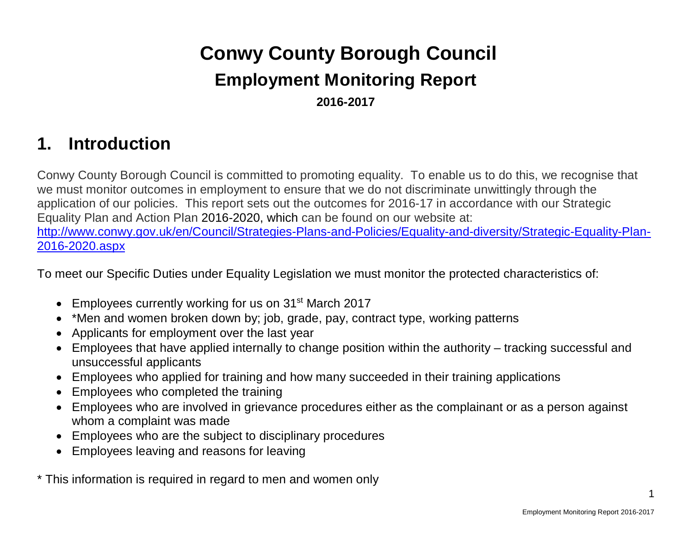# **Conwy County Borough Council Employment Monitoring Report 2016-2017**

# **1. Introduction**

Conwy County Borough Council is committed to promoting equality. To enable us to do this, we recognise that we must monitor outcomes in employment to ensure that we do not discriminate unwittingly through the application of our policies. This report sets out the outcomes for 2016-17 in accordance with our Strategic Equality Plan and Action Plan 2016-2020, which can be found on our website at: [http://www.conwy.gov.uk/en/Council/Strategies-Plans-and-Policies/Equality-and-diversity/Strategic-Equality-Plan-](http://www.conwy.gov.uk/en/Council/Strategies-Plans-and-Policies/Equality-and-diversity/Strategic-Equality-Plan-2016-2020.aspx)[2016-2020.aspx](http://www.conwy.gov.uk/en/Council/Strategies-Plans-and-Policies/Equality-and-diversity/Strategic-Equality-Plan-2016-2020.aspx)

To meet our Specific Duties under Equality Legislation we must monitor the protected characteristics of:

- Employees currently working for us on 31<sup>st</sup> March 2017
- \*Men and women broken down by; job, grade, pay, contract type, working patterns
- Applicants for employment over the last year
- Employees that have applied internally to change position within the authority tracking successful and unsuccessful applicants
- Employees who applied for training and how many succeeded in their training applications
- Employees who completed the training
- Employees who are involved in grievance procedures either as the complainant or as a person against whom a complaint was made
- Employees who are the subject to disciplinary procedures
- Employees leaving and reasons for leaving

\* This information is required in regard to men and women only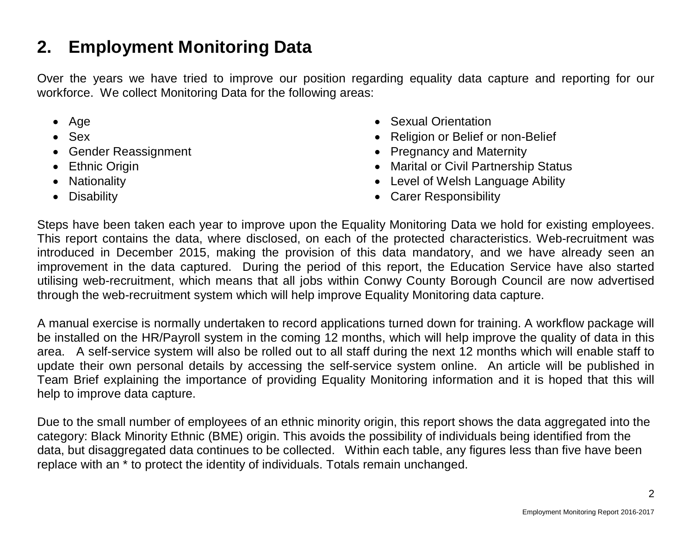# **2. Employment Monitoring Data**

Over the years we have tried to improve our position regarding equality data capture and reporting for our workforce. We collect Monitoring Data for the following areas:

- Age
- Sex
- Gender Reassignment
- Ethnic Origin
- Nationality
- Disability
- Sexual Orientation
- Religion or Belief or non-Belief
- Pregnancy and Maternity
- Marital or Civil Partnership Status
- Level of Welsh Language Ability
- Carer Responsibility

Steps have been taken each year to improve upon the Equality Monitoring Data we hold for existing employees. This report contains the data, where disclosed, on each of the protected characteristics. Web-recruitment was introduced in December 2015, making the provision of this data mandatory, and we have already seen an improvement in the data captured. During the period of this report, the Education Service have also started utilising web-recruitment, which means that all jobs within Conwy County Borough Council are now advertised through the web-recruitment system which will help improve Equality Monitoring data capture.

A manual exercise is normally undertaken to record applications turned down for training. A workflow package will be installed on the HR/Payroll system in the coming 12 months, which will help improve the quality of data in this area. A self-service system will also be rolled out to all staff during the next 12 months which will enable staff to update their own personal details by accessing the self-service system online. An article will be published in Team Brief explaining the importance of providing Equality Monitoring information and it is hoped that this will help to improve data capture.

Due to the small number of employees of an ethnic minority origin, this report shows the data aggregated into the category: Black Minority Ethnic (BME) origin. This avoids the possibility of individuals being identified from the data, but disaggregated data continues to be collected. Within each table, any figures less than five have been replace with an \* to protect the identity of individuals. Totals remain unchanged.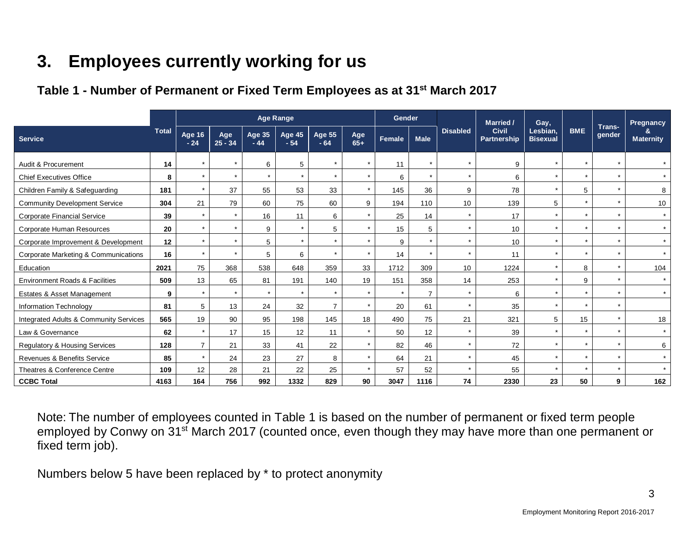# **3. Employees currently working for us**

# **Table 1 - Number of Permanent or Fixed Term Employees as at 31st March 2017**

|                                           |              |                 |                  |                        | <b>Age Range</b> |                        |              | Gender  |                |                 | <b>Married</b> /                   | Gay,                        |            |                  | Pregnancy             |
|-------------------------------------------|--------------|-----------------|------------------|------------------------|------------------|------------------------|--------------|---------|----------------|-----------------|------------------------------------|-----------------------------|------------|------------------|-----------------------|
| <b>Service</b>                            | <b>Total</b> | Age 16<br>$-24$ | Age<br>$25 - 34$ | <b>Age 35</b><br>$-44$ | Age 45<br>$-54$  | <b>Age 55</b><br>$-64$ | Age<br>$65+$ | Female  | <b>Male</b>    | <b>Disabled</b> | <b>Civil</b><br><b>Partnership</b> | Lesbian,<br><b>Bisexual</b> | <b>BME</b> | Trans-<br>gender | &<br><b>Maternity</b> |
| Audit & Procurement                       | 14           | $\star$         |                  | 6                      | 5                | $\star$                | $\star$      | 11      | $\star$        |                 | 9                                  | $\star$                     |            |                  |                       |
| <b>Chief Executives Office</b>            | 8            | $\star$         | $\star$          | $\star$                | $\star$          | $\star$                | $\star$      | 6       | $\star$        | $\star$         | 6                                  | $\star$                     |            | $\star$          | $\star$               |
| Children Family & Safeguarding            | 181          | $\star$         | 37               | 55                     | 53               | 33                     | $\star$      | 145     | 36             | 9               | 78                                 | $\star$                     | 5          |                  | 8                     |
| <b>Community Development Service</b>      | 304          | 21              | 79               | 60                     | 75               | 60                     | 9            | 194     | 110            | 10              | 139                                | 5                           |            | $\star$          | 10                    |
| <b>Corporate Financial Service</b>        | 39           | $\star$         | $\star$          | 16                     | 11               | 6                      | $\star$      | 25      | 14             | $\star$         | 17                                 | $\star$                     |            | $\star$          | $\star$               |
| Corporate Human Resources                 | 20           | $\star$         |                  | 9                      | $\star$          | 5                      | $\star$      | 15      | 5              | $\star$         | 10 <sup>10</sup>                   | $\star$                     |            |                  | $\star$               |
| Corporate Improvement & Development       | 12           | $\star$         |                  | 5                      | $\star$          | $\star$                | $\star$      | 9       | $\star$        | $\star$         | 10                                 | $\star$                     |            |                  | $\star$               |
| Corporate Marketing & Communications      | 16           | $\star$         |                  | 5                      | 6                | $\star$                | $\star$      | 14      | $\star$        | $\star$         | 11                                 | $\star$                     |            |                  | $\star$               |
| Education                                 | 2021         | 75              | 368              | 538                    | 648              | 359                    | 33           | 1712    | 309            | 10              | 1224                               | $\star$                     | 8          | $\star$          | 104                   |
| <b>Environment Roads &amp; Facilities</b> | 509          | 13              | 65               | 81                     | 191              | 140                    | 19           | 151     | 358            | 14              | 253                                | $\star$                     | 9          |                  | $\star$               |
| Estates & Asset Management                | 9            | $\star$         | $\star$          | $\star$                | $\star$          | $\star$                | $\star$      | $\star$ | $\overline{7}$ | $\star$         | 6                                  | $\star$                     |            |                  | $\star$               |
| Information Technology                    | 81           | 5               | 13               | 24                     | 32               | $\overline{7}$         | $\star$      | 20      | 61             | $\star$         | 35                                 | $\star$                     |            | $\star$          |                       |
| Integrated Adults & Community Services    | 565          | 19              | 90               | 95                     | 198              | 145                    | 18           | 490     | 75             | 21              | 321                                | 5                           | 15         | $\star$          | 18                    |
| Law & Governance                          | 62           | $\star$         | 17               | 15                     | 12               | 11                     | $\star$      | 50      | 12             | $\star$         | 39                                 | $\star$                     |            |                  | $\star$               |
| Regulatory & Housing Services             | 128          | $\overline{7}$  | 21               | 33                     | 41               | 22                     | $\star$      | 82      | 46             | $\star$         | 72                                 | $\star$                     |            |                  | 6                     |
| Revenues & Benefits Service               | 85           | $\star$         | 24               | 23                     | 27               | 8                      | $\star$      | 64      | 21             | $\star$         | 45                                 | $\star$                     |            |                  | $\star$               |
| Theatres & Conference Centre              | 109          | 12              | 28               | 21                     | 22               | 25                     | $\star$      | 57      | 52             | $\star$         | 55                                 | $\overline{v}$              |            |                  | $\star$               |
| <b>CCBC Total</b>                         | 4163         | 164             | 756              | 992                    | 1332             | 829                    | 90           | 3047    | 1116           | 74              | 2330                               | 23                          | 50         | 9                | 162                   |

Note: The number of employees counted in Table 1 is based on the number of permanent or fixed term people employed by Conwy on 31<sup>st</sup> March 2017 (counted once, even though they may have more than one permanent or fixed term job).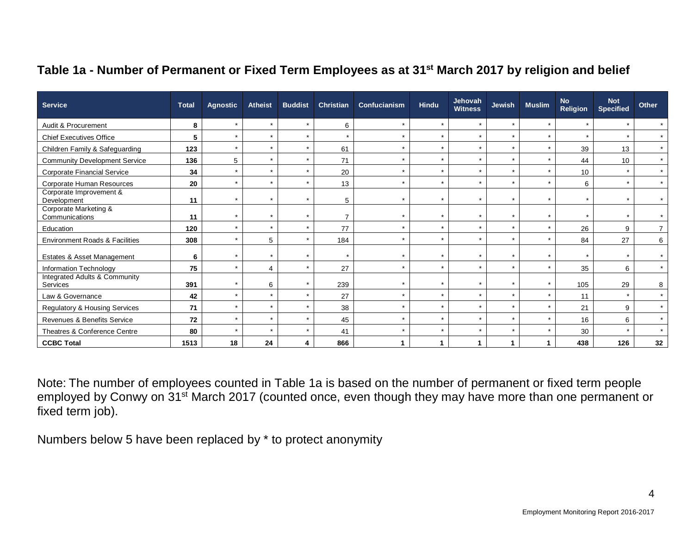# **Table 1a - Number of Permanent or Fixed Term Employees as at 31st March 2017 by religion and belief**

| <b>Service</b>                            | <b>Total</b> | <b>Agnostic</b> | <b>Atheist</b> | <b>Buddist</b> | Christian      | Confucianism | <b>Hindu</b> | Jehovah<br><b>Witness</b> | <b>Jewish</b> | <b>Muslim</b>  | <b>No</b><br><b>Religion</b> | <b>Not</b><br><b>Specified</b> | Other   |
|-------------------------------------------|--------------|-----------------|----------------|----------------|----------------|--------------|--------------|---------------------------|---------------|----------------|------------------------------|--------------------------------|---------|
| Audit & Procurement                       | 8            | $\star$         | $\star$        | $\star$        | 6              | $\star$      | $\star$      | $\star$                   | $\star$       | $\star$        |                              | $\star$                        |         |
| <b>Chief Executives Office</b>            | 5            |                 | $\star$        | $\star$        | $\star$        | $\star$      | $\star$      | $\star$                   | $\star$       | $\star$        |                              | $\star$                        |         |
| Children Family & Safeguarding            | 123          | $\star$         | $\star$        | $\star$        | 61             | $\star$      | $\star$      | $\star$                   | $\star$       | $\overline{v}$ | 39                           | 13                             | $\star$ |
| <b>Community Development Service</b>      | 136          | 5               | $\star$        | $\star$        | 71             | $\star$      | $\star$      | $\star$                   | $\star$       | $\star$        | 44                           | 10                             | $\star$ |
| <b>Corporate Financial Service</b>        | 34           |                 | $\star$        | $\star$        | 20             | $\star$      | $\star$      | $\star$                   | $\star$       | $\star$        | 10                           | $\star$                        | $\star$ |
| Corporate Human Resources                 | 20           | ÷               | $\star$        | $\star$        | 13             | $\star$      | $\star$      | $\star$                   | $\star$       | $\overline{v}$ | 6                            | $\star$                        | $\star$ |
| Corporate Improvement &<br>Development    | 11           | $\star$         | $\star$        | $\star$        | 5              | $\star$      | $\star$      | $\star$                   | $\star$       | $\star$        |                              | $\star$                        |         |
| Corporate Marketing &<br>Communications   | 11           | $\star$         | $\star$        | $\star$        | $\overline{7}$ | $\star$      | $\star$      | $\star$                   | $\star$       |                |                              | $\star$                        |         |
| Education                                 | 120          |                 | $\star$        | $\star$        | 77             | $\star$      | $\star$      | $\star$                   | $\star$       |                | 26                           | 9                              |         |
| <b>Environment Roads &amp; Facilities</b> | 308          | $\star$         | 5              | $\star$        | 184            | $\star$      | $\star$      | $\star$                   | $\star$       | $\overline{v}$ | 84                           | 27                             | 6       |
| Estates & Asset Management                | 6            |                 | ÷              | $\star$        | $\star$        | $\star$      | $\star$      | $\star$                   | $\star$       |                |                              | $\star$                        |         |
| Information Technology                    | 75           |                 | Δ              | $\star$        | 27             | $\star$      | $\star$      | $\star$                   | $\star$       |                | 35                           | 6                              |         |
| Integrated Adults & Community<br>Services | 391          |                 | 6              | $\star$        | 239            | $\star$      | $\star$      | $\star$                   | $\star$       |                | 105                          | 29                             | 8       |
| Law & Governance                          | 42           | $\star$         | $\star$        | $\star$        | 27             | $\star$      | $\star$      | $\star$                   | $\star$       | $\star$        | 11                           | $\star$                        | $\star$ |
| Regulatory & Housing Services             | 71           | $\star$         | $\star$        | $\star$        | 38             | $\star$      | $\star$      | $\star$                   | $\star$       |                | 21                           | 9                              | $\star$ |
| Revenues & Benefits Service               | 72           | $\star$         | $\star$        | $\star$        | 45             | $\star$      | $\star$      | $\star$                   | $\star$       |                | 16                           | 6                              | $\star$ |
| Theatres & Conference Centre              | 80           |                 |                | $\star$        | 41             | $\star$      | $\star$      | $\star$                   | $\star$       |                | 30                           | $\star$                        |         |
| <b>CCBC Total</b>                         | 1513         | 18              | 24             | 4              | 866            |              |              |                           | 1             | 1              | 438                          | 126                            | 32      |

Note: The number of employees counted in Table 1a is based on the number of permanent or fixed term people employed by Conwy on 31<sup>st</sup> March 2017 (counted once, even though they may have more than one permanent or fixed term job).

Numbers below 5 have been replaced by \* to protect anonymity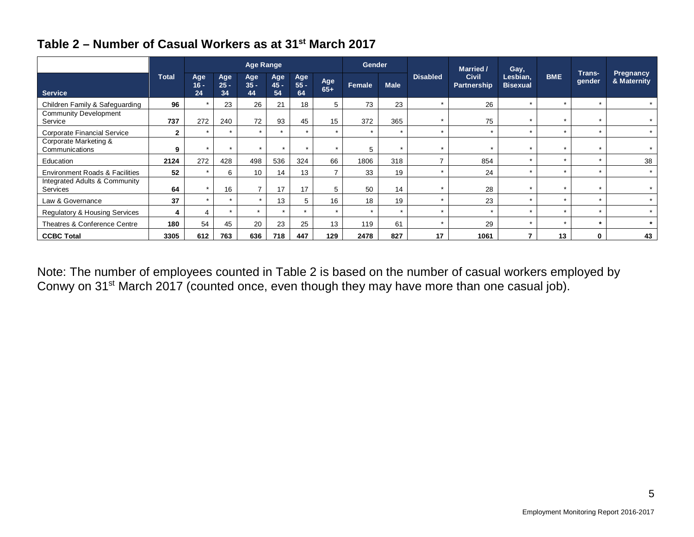|                                                  |              |                     |                     | <b>Age Range</b>    |                      |                     |                | <b>Gender</b> |             |                 | <b>Married /</b>            | Gay,                        |            |                      |                          |
|--------------------------------------------------|--------------|---------------------|---------------------|---------------------|----------------------|---------------------|----------------|---------------|-------------|-----------------|-----------------------------|-----------------------------|------------|----------------------|--------------------------|
| <b>Service</b>                                   | <b>Total</b> | Age<br>$16 -$<br>24 | Age<br>$25 -$<br>34 | Age<br>$35 -$<br>44 | Age<br>$45 -$<br>54  | Age<br>$55 -$<br>64 | Age<br>$65+$   | Female        | <b>Male</b> | <b>Disabled</b> | <b>Civil</b><br>Partnership | Lesbian,<br><b>Bisexual</b> | <b>BME</b> | Trans-<br>gender     | Pregnancy<br>& Maternity |
| Children Family & Safeguarding                   | 96           | $\star$             | 23                  | 26                  | 21                   | 18                  | 5              | 73            | 23          |                 | 26                          | ÷                           |            | $\star$              |                          |
| <b>Community Development</b><br>Service          | 737          | 272                 | 240                 | 72                  | 93                   | 45                  | 15             | 372           | 365         |                 | 75                          |                             |            | $\star$              |                          |
| Corporate Financial Service                      | $\mathbf{2}$ | $\star$             | $\star$             | $\star$             | $\ddot{\phantom{1}}$ | $\overline{ }$      | $\star$        | $\star$       | $\star$     |                 |                             | $\star$                     |            | $\ddot{\phantom{1}}$ |                          |
| Corporate Marketing &<br>Communications          | 9            | $\star$             | $\star$             | $\star$             | $\star$              | $\star$             | $\star$        | 5             | $\star$     |                 | $\star$                     | $\star$                     |            | $\star$              |                          |
| Education                                        | 2124         | 272                 | 428                 | 498                 | 536                  | 324                 | 66             | 1806          | 318         |                 | 854                         | $\star$                     |            | $\star$              | 38                       |
| <b>Environment Roads &amp; Facilities</b>        | 52           | $\star$             | 6                   | 10                  | 14                   | 13                  | $\overline{ }$ | 33            | 19          |                 | 24                          | $\star$                     |            | $\star$              | $\star$                  |
| Integrated Adults & Community<br><b>Services</b> | 64           | $\star$             | 16                  |                     | 17                   | 17                  | 5              | 50            | 14          |                 | 28                          |                             |            | $\star$              |                          |
| Law & Governance                                 | 37           | $\star$             | $\star$             | $\star$             | 13                   | 5                   | 16             | 18            | 19          |                 | 23                          |                             |            | $\star$              |                          |
| Regulatory & Housing Services                    | 4            | 4                   | $\star$             | $\star$             | $\star$              | $\star$             | $\star$        | $\star$       | $\star$     |                 | $\rightarrow$               |                             |            | $\star$              |                          |
| Theatres & Conference Centre                     | 180          | 54                  | 45                  | 20                  | 23                   | 25                  | 13             | 119           | 61          |                 | 29                          |                             |            | $\star$              |                          |
| <b>CCBC Total</b>                                | 3305         | 612                 | 763                 | 636                 | 718                  | 447                 | 129            | 2478          | 827         | 17              | 1061                        |                             | 13         | $\mathbf{0}$         | 43                       |

## **Table 2 – Number of Casual Workers as at 31st March 2017**

Note: The number of employees counted in Table 2 is based on the number of casual workers employed by Conwy on 31<sup>st</sup> March 2017 (counted once, even though they may have more than one casual job).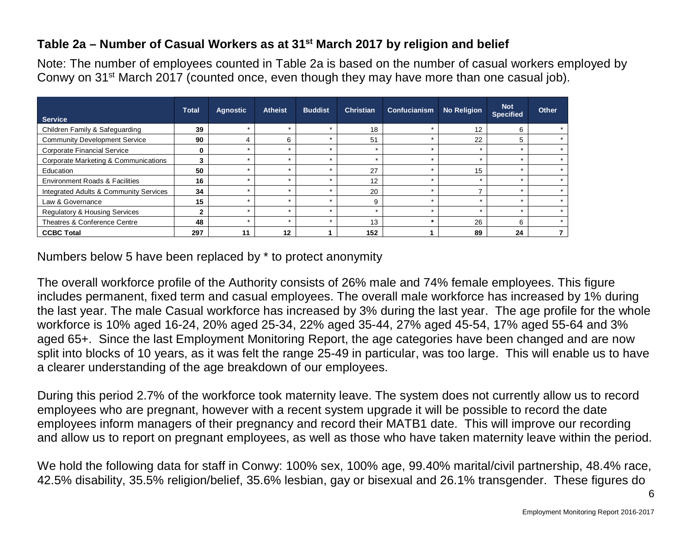## **Table 2a – Number of Casual Workers as at 31st March 2017 by religion and belief**

Note: The number of employees counted in Table 2a is based on the number of casual workers employed by Conwy on 31<sup>st</sup> March 2017 (counted once, even though they may have more than one casual job).

| <b>Service</b>                            | <b>Total</b> | <b>Agnostic</b> | <b>Atheist</b> | <b>Buddist</b> | <b>Christian</b> | Confucianism | <b>No Religion</b> | <b>Not</b><br><b>Specified</b> | Other |
|-------------------------------------------|--------------|-----------------|----------------|----------------|------------------|--------------|--------------------|--------------------------------|-------|
| Children Family & Safeguarding            | 39           | $\star$         | $\star$        | $\star$        | 18               |              | 12                 | 6                              |       |
| <b>Community Development Service</b>      | 90           |                 | 6              | $\star$        | 51               |              | 22                 | 5                              |       |
| <b>Corporate Financial Service</b>        | 0            | $\star$         | $\star$        | $\star$        | $\star$          | ÷            |                    |                                |       |
| Corporate Marketing & Communications      |              |                 |                |                | $\star$          |              |                    |                                |       |
| Education                                 | 50           | $\star$         | $\star$        | ÷              | 27               | ÷            | 15                 |                                |       |
| <b>Environment Roads &amp; Facilities</b> | 16           | $\star$         | $\star$        | $\star$        | 12               |              |                    |                                |       |
| Integrated Adults & Community Services    | 34           | $\star$         | $\star$        | $\star$        | 20               | $\star$      |                    |                                |       |
| Law & Governance                          | 15           |                 |                |                | 9                |              |                    |                                |       |
| <b>Regulatory &amp; Housing Services</b>  | ◠            | $\star$         | $\star$        | $\star$        | $\star$          | ÷            |                    |                                |       |
| Theatres & Conference Centre              | 48           | $\star$         | $\star$        | $\star$        | 13               | $\star$      | 26                 | 6                              |       |
| <b>CCBC Total</b>                         | 297          | 11              | 12             |                | 152              |              | 89                 | 24                             |       |

Numbers below 5 have been replaced by \* to protect anonymity

The overall workforce profile of the Authority consists of 26% male and 74% female employees. This figure includes permanent, fixed term and casual employees. The overall male workforce has increased by 1% during the last year. The male Casual workforce has increased by 3% during the last year. The age profile for the whole workforce is 10% aged 16-24, 20% aged 25-34, 22% aged 35-44, 27% aged 45-54, 17% aged 55-64 and 3% aged 65+. Since the last Employment Monitoring Report, the age categories have been changed and are now split into blocks of 10 years, as it was felt the range 25-49 in particular, was too large. This will enable us to have a clearer understanding of the age breakdown of our employees.

During this period 2.7% of the workforce took maternity leave. The system does not currently allow us to record employees who are pregnant, however with a recent system upgrade it will be possible to record the date employees inform managers of their pregnancy and record their MATB1 date. This will improve our recording and allow us to report on pregnant employees, as well as those who have taken maternity leave within the period.

We hold the following data for staff in Conwy: 100% sex, 100% age, 99.40% marital/civil partnership, 48.4% race, 42.5% disability, 35.5% religion/belief, 35.6% lesbian, gay or bisexual and 26.1% transgender. These figures do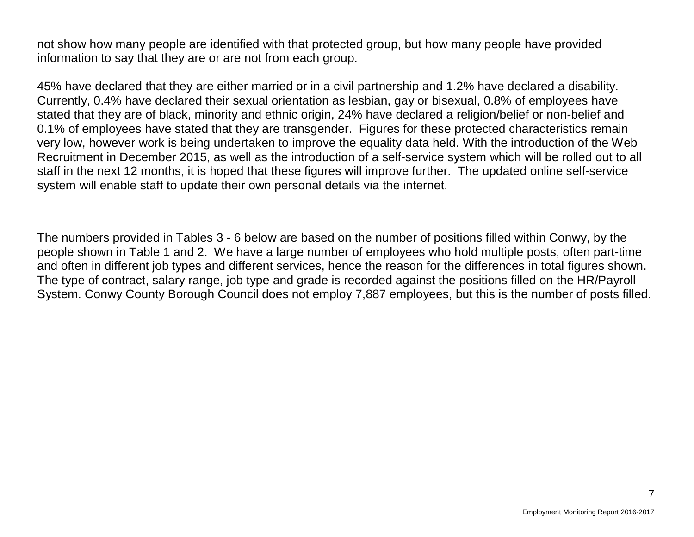not show how many people are identified with that protected group, but how many people have provided information to say that they are or are not from each group.

45% have declared that they are either married or in a civil partnership and 1.2% have declared a disability. Currently, 0.4% have declared their sexual orientation as lesbian, gay or bisexual, 0.8% of employees have stated that they are of black, minority and ethnic origin, 24% have declared a religion/belief or non-belief and 0.1% of employees have stated that they are transgender. Figures for these protected characteristics remain very low, however work is being undertaken to improve the equality data held. With the introduction of the Web Recruitment in December 2015, as well as the introduction of a self-service system which will be rolled out to all staff in the next 12 months, it is hoped that these figures will improve further. The updated online self-service system will enable staff to update their own personal details via the internet.

The numbers provided in Tables 3 - 6 below are based on the number of positions filled within Conwy, by the people shown in Table 1 and 2. We have a large number of employees who hold multiple posts, often part-time and often in different job types and different services, hence the reason for the differences in total figures shown. The type of contract, salary range, job type and grade is recorded against the positions filled on the HR/Payroll System. Conwy County Borough Council does not employ 7,887 employees, but this is the number of posts filled.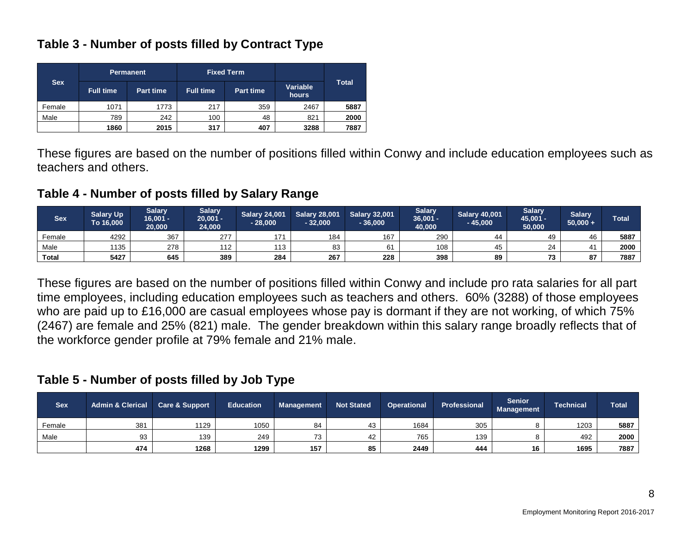### **Table 3 - Number of posts filled by Contract Type**

|            |                  | <b>Permanent</b> |                  | <b>Fixed Term</b> |                   |              |
|------------|------------------|------------------|------------------|-------------------|-------------------|--------------|
| <b>Sex</b> | <b>Full time</b> | <b>Part time</b> | <b>Full time</b> | <b>Part time</b>  | Variable<br>hours | <b>Total</b> |
| Female     | 1071             | 1773             | 217              | 359               | 2467              | 5887         |
| Male       | 789              | 242              | 100              | 48                | 821               | 2000         |
|            | 1860             | 2015             | 317              | 407               | 3288              | 7887         |

These figures are based on the number of positions filled within Conwy and include education employees such as teachers and others.

**Table 4 - Number of posts filled by Salary Range**

| <b>Sex</b>   | <b>Salary Up</b><br>To 16,000 | <b>Salary</b><br>$16,001 -$<br>20,000 | <b>Salary</b><br>$20,001 -$<br>24.000 | <b>Salary 24,001</b><br>$-28,000$ | <b>Salary 28,001</b><br>$-32.000$ | <b>Salary 32,001</b><br>36,000 | <b>Salary</b><br>36,001 -<br>40.000 | <b>Salary 40,001</b><br>$-45,000$ | <b>Salary</b><br>45,001 -<br>50,000 | <b>Salary</b><br>$50,000 +$ | <b>Total</b> |
|--------------|-------------------------------|---------------------------------------|---------------------------------------|-----------------------------------|-----------------------------------|--------------------------------|-------------------------------------|-----------------------------------|-------------------------------------|-----------------------------|--------------|
| Female       | 4292                          | 367                                   | 277                                   | 171                               | 184                               | 167                            | 290                                 | 44                                | 49                                  | 40                          | 5887         |
| Male         | 1135                          | 278                                   | 112                                   | 113                               | 83                                |                                | 108                                 | 45                                | 24                                  |                             | 2000         |
| <b>Total</b> | 5427                          | 645                                   | 389                                   | 284                               | 267                               | 228                            | 398                                 | 89                                | 73                                  | $\sim$<br>о.                | 7887         |

These figures are based on the number of positions filled within Conwy and include pro rata salaries for all part time employees, including education employees such as teachers and others. 60% (3288) of those employees who are paid up to £16,000 are casual employees whose pay is dormant if they are not working, of which 75% (2467) are female and 25% (821) male. The gender breakdown within this salary range broadly reflects that of the workforce gender profile at 79% female and 21% male.

#### **Table 5 - Number of posts filled by Job Type**

| <b>Sex</b> | <b>Admin &amp; Clerical</b> | <b>Care &amp; Support</b> | <b>Education</b> | <b>Management</b> | <b>Not Stated</b> | <b>Operational</b> | <b>Professional</b> | <b>Senior</b><br>Management | <b>Technical</b> | <b>Total</b> |
|------------|-----------------------------|---------------------------|------------------|-------------------|-------------------|--------------------|---------------------|-----------------------------|------------------|--------------|
| Female     | 381                         | 1129                      | 1050             | 84                | 43                | 1684               | 305                 |                             | 1203             | 5887         |
| Male       | ۵Q<br>ອບ                    | 139                       | 249              | 73                | 42                | 765                | 139                 |                             | 492              | 2000         |
|            | 474                         | 1268                      | 1299             | 157               | 85                | 2449               | 444                 | 16                          | 1695             | 7887         |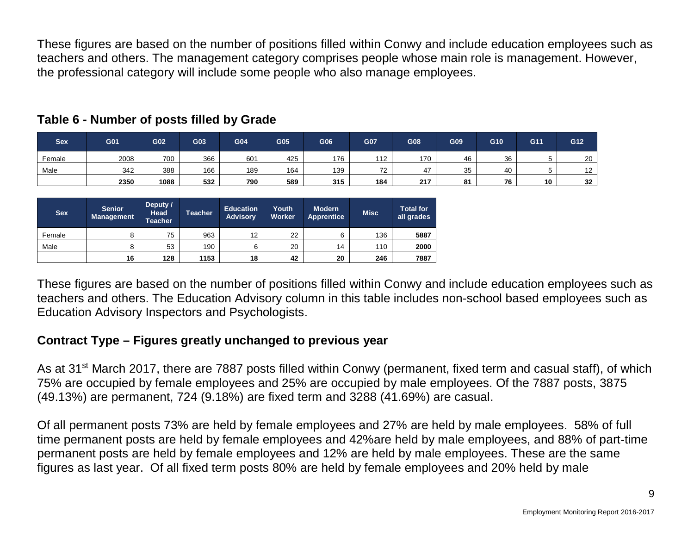These figures are based on the number of positions filled within Conwy and include education employees such as teachers and others. The management category comprises people whose main role is management. However, the professional category will include some people who also manage employees.

| <b>Sex</b> | G01  | G02  | G03 | G04 | G <sub>05</sub> | G06 | G07       | G08 | G09 | G10 | G11 | G12 |
|------------|------|------|-----|-----|-----------------|-----|-----------|-----|-----|-----|-----|-----|
| Female     | 2008 | 700  | 366 | 601 | 425             | 176 | 112       | 170 | 46  | 36  |     | 20  |
| Male       | 342  | 388  | 166 | 189 | 164             | 139 | 70<br>ے ا | 47  | 35  | 40  |     | 12  |
|            | 2350 | 1088 | 532 | 790 | 589             | 315 | 184       | 217 | 81  | 76  | 10  | 32  |

#### **Table 6 - Number of posts filled by Grade**

| <b>Sex</b> | <b>Senior</b><br><b>Management</b> | Deputy /<br><b>Head</b><br><b>Teacher</b> | <b>Teacher</b> | <b>Education</b><br><b>Advisory</b> | Youth<br><b>Worker</b> | <b>Modern</b><br><b>Apprentice</b> | <b>Misc</b> | <b>Total for</b><br>all grades |
|------------|------------------------------------|-------------------------------------------|----------------|-------------------------------------|------------------------|------------------------------------|-------------|--------------------------------|
| Female     |                                    | 75                                        | 963            | 12                                  | 22                     | 6                                  | 136         | 5887                           |
| Male       |                                    | 53                                        | 190            | 6                                   | 20                     | 14                                 | 110         | 2000                           |
|            | 16                                 | 128                                       | 1153           | 18                                  | 42                     | 20                                 | 246         | 7887                           |

These figures are based on the number of positions filled within Conwy and include education employees such as teachers and others. The Education Advisory column in this table includes non-school based employees such as Education Advisory Inspectors and Psychologists.

## **Contract Type – Figures greatly unchanged to previous year**

As at 31<sup>st</sup> March 2017, there are 7887 posts filled within Conwy (permanent, fixed term and casual staff), of which 75% are occupied by female employees and 25% are occupied by male employees. Of the 7887 posts, 3875 (49.13%) are permanent, 724 (9.18%) are fixed term and 3288 (41.69%) are casual.

Of all permanent posts 73% are held by female employees and 27% are held by male employees. 58% of full time permanent posts are held by female employees and 42%are held by male employees, and 88% of part-time permanent posts are held by female employees and 12% are held by male employees. These are the same figures as last year. Of all fixed term posts 80% are held by female employees and 20% held by male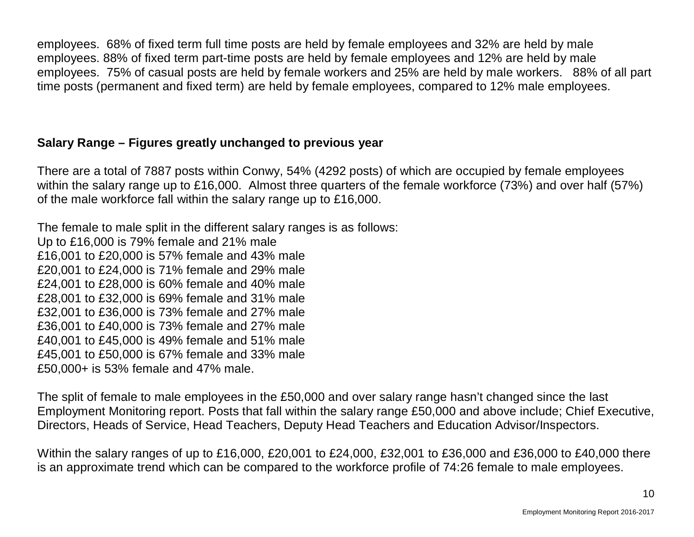employees. 68% of fixed term full time posts are held by female employees and 32% are held by male employees. 88% of fixed term part-time posts are held by female employees and 12% are held by male employees. 75% of casual posts are held by female workers and 25% are held by male workers. 88% of all part time posts (permanent and fixed term) are held by female employees, compared to 12% male employees.

## **Salary Range – Figures greatly unchanged to previous year**

There are a total of 7887 posts within Conwy, 54% (4292 posts) of which are occupied by female employees within the salary range up to £16,000. Almost three quarters of the female workforce (73%) and over half (57%) of the male workforce fall within the salary range up to £16,000.

The female to male split in the different salary ranges is as follows: Up to £16,000 is 79% female and 21% male £16,001 to £20,000 is 57% female and 43% male £20,001 to £24,000 is 71% female and 29% male £24,001 to £28,000 is 60% female and 40% male £28,001 to £32,000 is 69% female and 31% male £32,001 to £36,000 is 73% female and 27% male £36,001 to £40,000 is 73% female and 27% male £40,001 to £45,000 is 49% female and 51% male £45,001 to £50,000 is 67% female and 33% male £50,000+ is 53% female and 47% male.

The split of female to male employees in the £50,000 and over salary range hasn't changed since the last Employment Monitoring report. Posts that fall within the salary range £50,000 and above include; Chief Executive, Directors, Heads of Service, Head Teachers, Deputy Head Teachers and Education Advisor/Inspectors.

Within the salary ranges of up to £16,000, £20,001 to £24,000, £32,001 to £36,000 and £36,000 to £40,000 there is an approximate trend which can be compared to the workforce profile of 74:26 female to male employees.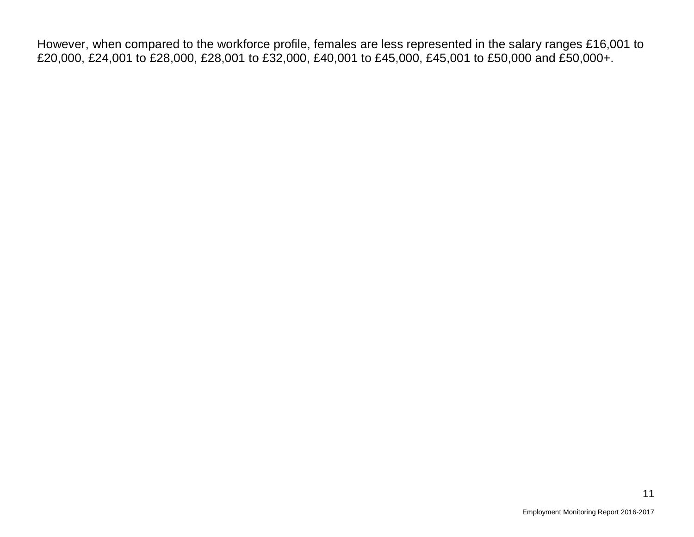However, when compared to the workforce profile, females are less represented in the salary ranges £16,001 to £20,000, £24,001 to £28,000, £28,001 to £32,000, £40,001 to £45,000, £45,001 to £50,000 and £50,000+.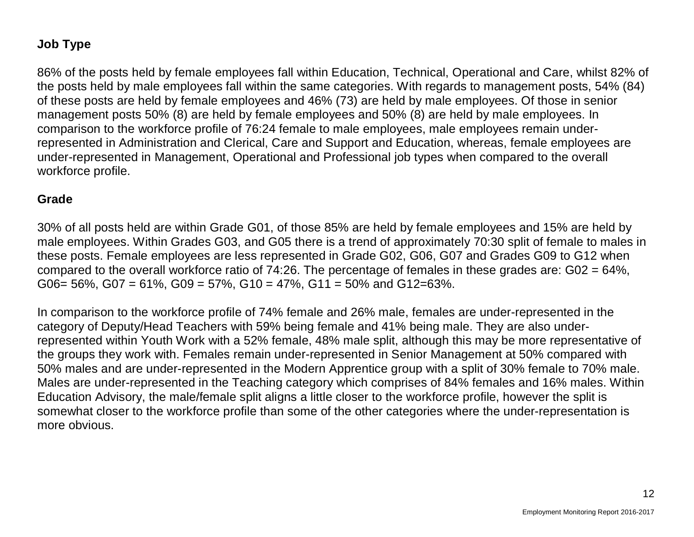# **Job Type**

86% of the posts held by female employees fall within Education, Technical, Operational and Care, whilst 82% of the posts held by male employees fall within the same categories. With regards to management posts, 54% (84) of these posts are held by female employees and 46% (73) are held by male employees. Of those in senior management posts 50% (8) are held by female employees and 50% (8) are held by male employees. In comparison to the workforce profile of 76:24 female to male employees, male employees remain underrepresented in Administration and Clerical, Care and Support and Education, whereas, female employees are under-represented in Management, Operational and Professional job types when compared to the overall workforce profile.

#### **Grade**

30% of all posts held are within Grade G01, of those 85% are held by female employees and 15% are held by male employees. Within Grades G03, and G05 there is a trend of approximately 70:30 split of female to males in these posts. Female employees are less represented in Grade G02, G06, G07 and Grades G09 to G12 when compared to the overall workforce ratio of 74:26. The percentage of females in these grades are: G02 = 64%, G06= 56%, G07 = 61%, G09 = 57%, G10 = 47%, G11 = 50% and G12=63%.

In comparison to the workforce profile of 74% female and 26% male, females are under-represented in the category of Deputy/Head Teachers with 59% being female and 41% being male. They are also underrepresented within Youth Work with a 52% female, 48% male split, although this may be more representative of the groups they work with. Females remain under-represented in Senior Management at 50% compared with 50% males and are under-represented in the Modern Apprentice group with a split of 30% female to 70% male. Males are under-represented in the Teaching category which comprises of 84% females and 16% males. Within Education Advisory, the male/female split aligns a little closer to the workforce profile, however the split is somewhat closer to the workforce profile than some of the other categories where the under-representation is more obvious.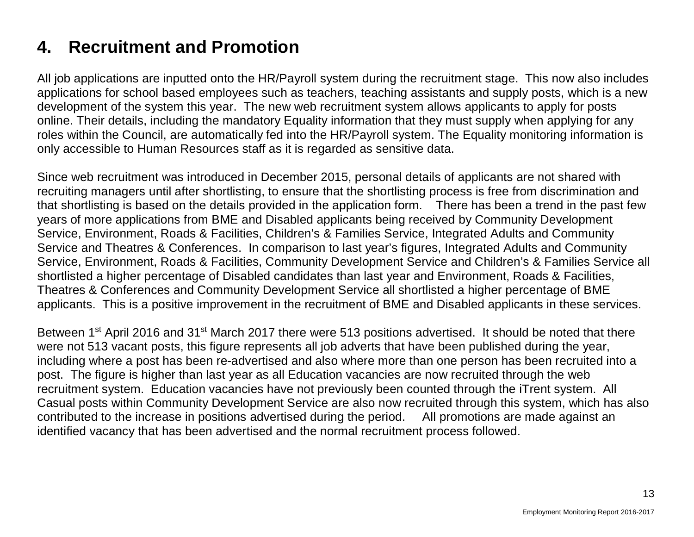# **4. Recruitment and Promotion**

All job applications are inputted onto the HR/Payroll system during the recruitment stage. This now also includes applications for school based employees such as teachers, teaching assistants and supply posts, which is a new development of the system this year. The new web recruitment system allows applicants to apply for posts online. Their details, including the mandatory Equality information that they must supply when applying for any roles within the Council, are automatically fed into the HR/Payroll system. The Equality monitoring information is only accessible to Human Resources staff as it is regarded as sensitive data.

Since web recruitment was introduced in December 2015, personal details of applicants are not shared with recruiting managers until after shortlisting, to ensure that the shortlisting process is free from discrimination and that shortlisting is based on the details provided in the application form. There has been a trend in the past few years of more applications from BME and Disabled applicants being received by Community Development Service, Environment, Roads & Facilities, Children's & Families Service, Integrated Adults and Community Service and Theatres & Conferences. In comparison to last year's figures, Integrated Adults and Community Service, Environment, Roads & Facilities, Community Development Service and Children's & Families Service all shortlisted a higher percentage of Disabled candidates than last year and Environment, Roads & Facilities, Theatres & Conferences and Community Development Service all shortlisted a higher percentage of BME applicants. This is a positive improvement in the recruitment of BME and Disabled applicants in these services.

Between 1<sup>st</sup> April 2016 and 31<sup>st</sup> March 2017 there were 513 positions advertised. It should be noted that there were not 513 vacant posts, this figure represents all job adverts that have been published during the year, including where a post has been re-advertised and also where more than one person has been recruited into a post. The figure is higher than last year as all Education vacancies are now recruited through the web recruitment system. Education vacancies have not previously been counted through the iTrent system. All Casual posts within Community Development Service are also now recruited through this system, which has also contributed to the increase in positions advertised during the period. All promotions are made against an identified vacancy that has been advertised and the normal recruitment process followed.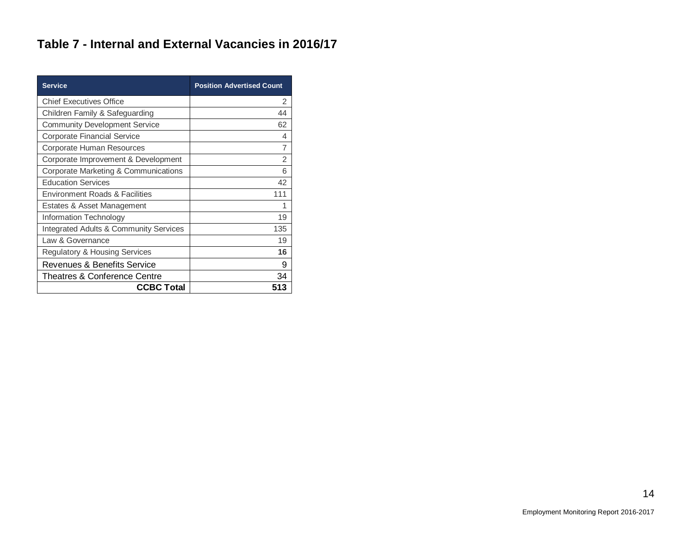# **Table 7 - Internal and External Vacancies in 2016/17**

| <b>Service</b>                                    | <b>Position Advertised Count</b> |
|---------------------------------------------------|----------------------------------|
| <b>Chief Executives Office</b>                    | 2                                |
| Children Family & Safeguarding                    | 44                               |
| <b>Community Development Service</b>              | 62                               |
| <b>Corporate Financial Service</b>                | 4                                |
| Corporate Human Resources                         | 7                                |
| Corporate Improvement & Development               | $\overline{2}$                   |
| Corporate Marketing & Communications              | 6                                |
| <b>Education Services</b>                         | 42                               |
| <b>Environment Roads &amp; Facilities</b>         | 111                              |
| Estates & Asset Management                        | 1                                |
| Information Technology                            | 19                               |
| <b>Integrated Adults &amp; Community Services</b> | 135                              |
| Law & Governance                                  | 19                               |
| <b>Regulatory &amp; Housing Services</b>          | 16                               |
| Revenues & Benefits Service                       | 9                                |
| Theatres & Conference Centre                      | 34                               |
| <b>CCBC Total</b>                                 | 513                              |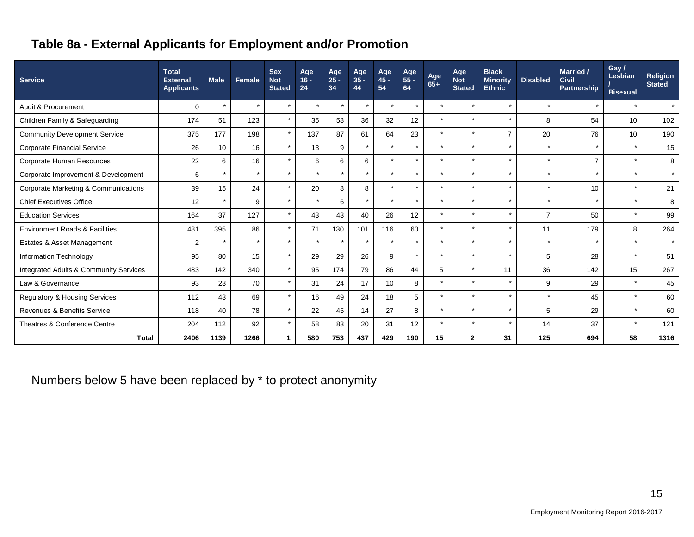# **Table 8a - External Applicants for Employment and/or Promotion**

| <b>Service</b>                            | <b>Total</b><br><b>External</b><br><b>Applicants</b> | <b>Male</b> | Female  | <b>Sex</b><br><b>Not</b><br><b>Stated</b> | Age<br>$16 -$<br>24 | Age<br>$25 -$<br>34 | Age<br>$35 -$<br>44 | Age<br>45 -<br>54 | Age<br>55 -<br>64 | Age<br>65+           | Age<br><b>Not</b><br><b>Stated</b> | <b>Black</b><br><b>Minority</b><br><b>Ethnic</b> | <b>Disabled</b> | Married /<br><b>Civil</b><br>Partnership | Gay /<br>Lesbian<br><b>Bisexual</b> | <b>Religion</b><br><b>Stated</b> |
|-------------------------------------------|------------------------------------------------------|-------------|---------|-------------------------------------------|---------------------|---------------------|---------------------|-------------------|-------------------|----------------------|------------------------------------|--------------------------------------------------|-----------------|------------------------------------------|-------------------------------------|----------------------------------|
| Audit & Procurement                       | $\mathbf 0$                                          | $\star$     | $\star$ | $\star$                                   | $\star$             | $\star$             | $\star$             | $\star$           | $\star$           | $\star$              | $\star$                            | $\star$                                          | $\star$         | $\star$                                  | $\star$                             | $\star$                          |
| Children Family & Safeguarding            | 174                                                  | 51          | 123     | $\star$                                   | 35                  | 58                  | 36                  | 32                | 12                | $\star$              | ÷                                  | $\star$                                          | 8               | 54                                       | 10                                  | 102                              |
| <b>Community Development Service</b>      | 375                                                  | 177         | 198     | $\star$                                   | 137                 | 87                  | 61                  | 64                | 23                | $\star$              | $\star$                            | $\overline{7}$                                   | 20              | 76                                       | 10                                  | 190                              |
| <b>Corporate Financial Service</b>        | 26                                                   | 10          | 16      | $\star$                                   | 13                  | 9                   | $\star$             | $\star$           | $\star$           | $\star$              | ÷                                  | $\star$                                          | $\star$         | $\star$                                  | $\star$                             | 15                               |
| Corporate Human Resources                 | 22                                                   | 6           | 16      | $\star$                                   | 6                   | 6                   | 6                   | $\star$           | $\star$           |                      | ÷                                  | $\star$                                          | $\star$         | $\overline{7}$                           | $\star$                             | 8                                |
| Corporate Improvement & Development       | 6                                                    | $\star$     | $\star$ | $\star$                                   | $\star$             | $\star$             | $\star$             | $\star$           | $\star$           | $\star$              | $\star$                            | $\star$                                          | $\star$         | $\star$                                  | $\star$                             | $\star$                          |
| Corporate Marketing & Communications      | 39                                                   | 15          | 24      | $\star$                                   | 20                  | 8                   | 8                   | $\star$           | $\star$           | $\ddot{\phantom{0}}$ |                                    | $\star$                                          | $\star$         | 10                                       | $\star$                             | 21                               |
| <b>Chief Executives Office</b>            | 12                                                   | $\star$     | 9       | $\star$                                   | $\star$             | 6                   | $\star$             | $\star$           | $\star$           | $\star$              | $\star$                            | $\star$                                          | $\star$         | ÷                                        | $\star$                             | 8                                |
| <b>Education Services</b>                 | 164                                                  | 37          | 127     | $\star$                                   | 43                  | 43                  | 40                  | 26                | 12                |                      |                                    | $\star$                                          | $\overline{7}$  | 50                                       | $\star$                             | 99                               |
| <b>Environment Roads &amp; Facilities</b> | 481                                                  | 395         | 86      | $\star$                                   | 71                  | 130                 | 101                 | 116               | 60                |                      | $\star$                            | $\star$                                          | 11              | 179                                      | 8                                   | 264                              |
| Estates & Asset Management                | 2                                                    | $\star$     | $\star$ | $\star$                                   |                     |                     |                     | $\star$           | $\star$           | $\star$              |                                    | $\star$                                          | $\star$         |                                          | $\star$                             | $\star$                          |
| Information Technology                    | 95                                                   | 80          | 15      | $\star$                                   | 29                  | 29                  | 26                  | 9                 | $\star$           | $\ddot{\phantom{a}}$ | ٠                                  | $\star$                                          | 5               | 28                                       | $\star$                             | 51                               |
| Integrated Adults & Community Services    | 483                                                  | 142         | 340     | $\star$                                   | 95                  | 174                 | 79                  | 86                | 44                | 5                    | $\star$                            | 11                                               | 36              | 142                                      | 15                                  | 267                              |
| Law & Governance                          | 93                                                   | 23          | 70      | $\star$                                   | 31                  | 24                  | 17                  | 10                | 8                 | $\star$              |                                    | $\star$                                          | 9               | 29                                       | $\star$                             | 45                               |
| Regulatory & Housing Services             | 112                                                  | 43          | 69      | $\star$                                   | 16                  | 49                  | 24                  | 18                | 5                 | $\star$              | $\star$                            | $\star$                                          | $\star$         | 45                                       | $\star$                             | 60                               |
| Revenues & Benefits Service               | 118                                                  | 40          | 78      | $\star$                                   | 22                  | 45                  | 14                  | 27                | 8                 | $\star$              |                                    | $\star$                                          | 5               | 29                                       | $\star$                             | 60                               |
| Theatres & Conference Centre              | 204                                                  | 112         | 92      | $\star$                                   | 58                  | 83                  | 20                  | 31                | 12                | $\star$              | $\star$                            | $\star$                                          | 14              | 37                                       | $\star$                             | 121                              |
| Total                                     | 2406                                                 | 1139        | 1266    |                                           | 580                 | 753                 | 437                 | 429               | 190               | 15                   | $\mathbf{2}$                       | 31                                               | 125             | 694                                      | 58                                  | 1316                             |

Numbers below 5 have been replaced by \* to protect anonymity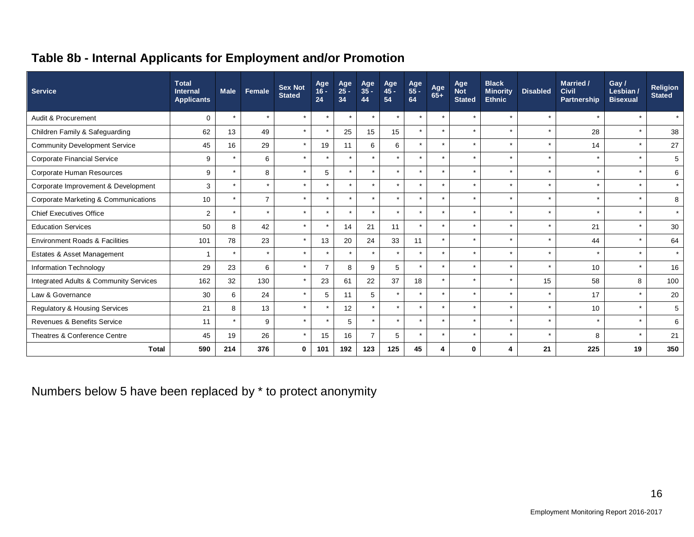# **Table 8b - Internal Applicants for Employment and/or Promotion**

| <b>Service</b>                                    | <b>Total</b><br><b>Internal</b><br><b>Applicants</b> | <b>Male</b> | Female         | <b>Sex Not</b><br><b>Stated</b> | Age<br>$16 -$<br>24 | Age<br>$25 -$<br>34 | Age<br>$35 -$<br>44 | Age<br>45 -<br>54    | Age<br>55 -<br>64 | Age<br>$65+$ | Age<br><b>Not</b><br><b>Stated</b> | <b>Black</b><br><b>Minority</b><br><b>Ethnic</b> | <b>Disabled</b> | Married /<br>Civil<br>Partnership | Gay /<br>Lesbian /<br><b>Bisexual</b> | Religion<br><b>Stated</b> |
|---------------------------------------------------|------------------------------------------------------|-------------|----------------|---------------------------------|---------------------|---------------------|---------------------|----------------------|-------------------|--------------|------------------------------------|--------------------------------------------------|-----------------|-----------------------------------|---------------------------------------|---------------------------|
| Audit & Procurement                               | $\Omega$                                             |             | $\star$        | $\star$                         | $\star$             | $\star$             | $\star$             | $\ddot{\phantom{1}}$ | $\star$           | $\star$      | $\star$                            |                                                  | $\star$         |                                   | $\star$                               | $\star$                   |
| Children Family & Safeguarding                    | 62                                                   | 13          | 49             | $\star$                         | $\star$             | 25                  | 15                  | 15                   | $\star$           | $\star$      | $\star$                            |                                                  | $\star$         | 28                                | $\star$                               | 38                        |
| <b>Community Development Service</b>              | 45                                                   | 16          | 29             | $\star$                         | 19                  | 11                  | 6                   | 6                    | $\star$           | $\star$      | $\star$                            |                                                  | $\star$         | 14                                | $\star$                               | 27                        |
| <b>Corporate Financial Service</b>                | 9                                                    |             | 6              | $\star$                         | $\star$             | $\star$             | $\star$             | $\star$              | $\star$           | $\star$      | $\star$                            | $\ddot{\phantom{1}}$                             | $\star$         | $\star$                           | $\star$                               | 5                         |
| Corporate Human Resources                         | 9                                                    |             | 8              |                                 | 5                   | $\star$             | $\star$             |                      | $\star$           | $\star$      | $\star$                            |                                                  | $\star$         | $\star$                           |                                       | 6                         |
| Corporate Improvement & Development               | 3                                                    |             | $\star$        | $\star$                         | $\star$             | $\star$             | $\star$             | $\star$              | $\star$           | $\star$      | $\star$                            | $\ddot{\phantom{1}}$                             | $\star$         | $\star$                           | $\star$                               | $\star$                   |
| Corporate Marketing & Communications              | 10                                                   |             | $\overline{7}$ |                                 | $\star$             | $\star$             | $\star$             | $\star$              | $\star$           | $\star$      | $\star$                            |                                                  | $\star$         | $\star$                           | $\ddot{\phantom{1}}$                  | 8                         |
| <b>Chief Executives Office</b>                    | $\overline{2}$                                       |             | $\star$        | $\star$                         | $\star$             | $\star$             | $\star$             | $\bullet$            | $\star$           | $\star$      | $\star$                            |                                                  | $\star$         | $\star$                           | $\star$                               | $\star$                   |
| <b>Education Services</b>                         | 50                                                   | 8           | 42             | $\star$                         | $\star$             | 14                  | 21                  | 11                   | ÷                 | $\star$      | $\star$                            |                                                  | $\star$         | 21                                | $\star$                               | 30                        |
| <b>Environment Roads &amp; Facilities</b>         | 101                                                  | 78          | 23             |                                 | 13                  | 20                  | 24                  | 33                   | 11                | $\star$      | $\star$                            |                                                  | $\star$         | 44                                |                                       | 64                        |
| Estates & Asset Management                        | 1                                                    |             | $\star$        | $\star$                         | $\star$             | $\star$             | $\star$             | $\star$              |                   | $\star$      | $\star$                            |                                                  | $\star$         | $\star$                           | $\star$                               | $\star$                   |
| Information Technology                            | 29                                                   | 23          | 6              | $\star$                         | $\overline{7}$      | 8                   | 9                   | 5                    | ÷                 | $\star$      | $\star$                            |                                                  | $\star$         | 10                                | $\star$                               | 16                        |
| <b>Integrated Adults &amp; Community Services</b> | 162                                                  | 32          | 130            | $\star$                         | 23                  | 61                  | 22                  | 37                   | 18                | $\star$      | $\star$                            | $\star$                                          | 15              | 58                                | 8                                     | 100                       |
| Law & Governance                                  | 30                                                   | 6           | 24             | $\star$                         | 5                   | 11                  | 5                   | $\star$              |                   | $\star$      | $\star$                            |                                                  | $\star$         | 17                                |                                       | 20                        |
| Regulatory & Housing Services                     | 21                                                   | 8           | 13             |                                 | $\star$             | 12                  | $\star$             | $\star$              | $\star$           | $\star$      | $\star$                            |                                                  | $\star$         | 10                                | $\star$                               | 5                         |
| Revenues & Benefits Service                       | 11                                                   |             | 9              | $\star$                         | $\star$             | 5                   | $\star$             | $\star$              | $\star$           | $\star$      | $\star$                            |                                                  | $\star$         | $\star$                           |                                       | 6                         |
| Theatres & Conference Centre                      | 45                                                   | 19          | 26             |                                 | 15                  | 16                  | $\overline{7}$      | 5                    | $\star$           | $\star$      | $\star$                            |                                                  | $\star$         | 8                                 | $\ddot{\phantom{1}}$                  | 21                        |
| <b>Total</b>                                      | 590                                                  | 214         | 376            | $\bf{0}$                        | 101                 | 192                 | 123                 | 125                  | 45                | Δ            | $\bf{0}$                           | Δ                                                | 21              | 225                               | 19                                    | 350                       |

Numbers below 5 have been replaced by \* to protect anonymity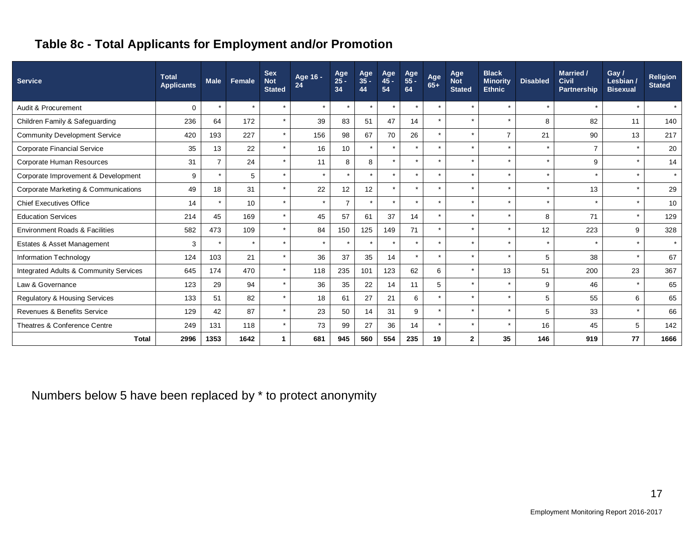# **Table 8c - Total Applicants for Employment and/or Promotion**

| <b>Service</b>                                  | <b>Total</b><br><b>Applicants</b> | <b>Male</b>    | Female  | <b>Sex</b><br><b>Not</b><br><b>Stated</b> | Age 16 -<br>24 | Age<br>$25 -$<br>34 | Age<br>35 -<br>44 | Age<br>$45 -$<br>54 | Age<br>55 -<br>64 | Age<br>$65+$         | Age<br><b>Not</b><br><b>Stated</b> | <b>Black</b><br><b>Minority</b><br><b>Ethnic</b> | <b>Disabled</b> | Married /<br><b>Civil</b><br>Partnership | Gay /<br>Lesbian /<br><b>Bisexual</b> | <b>Religion</b><br><b>Stated</b> |
|-------------------------------------------------|-----------------------------------|----------------|---------|-------------------------------------------|----------------|---------------------|-------------------|---------------------|-------------------|----------------------|------------------------------------|--------------------------------------------------|-----------------|------------------------------------------|---------------------------------------|----------------------------------|
| Audit & Procurement                             | 0                                 | $\star$        | $\star$ | $\star$                                   | $\star$        | $\star$             | $\star$           | $\star$             | $\star$           | $\star$              |                                    | $\star$                                          | $\star$         | $\star$                                  | $\star$                               | $\star$                          |
| Children Family & Safeguarding                  | 236                               | 64             | 172     | $\star$                                   | 39             | 83                  | 51                | 47                  | 14                | $\star$              |                                    | $\star$                                          | 8               | 82                                       | 11                                    | 140                              |
| <b>Community Development Service</b>            | 420                               | 193            | 227     | $\star$                                   | 156            | 98                  | 67                | 70                  | 26                | $\star$              | $\star$                            | $\overline{7}$                                   | 21              | 90                                       | 13                                    | 217                              |
| <b>Corporate Financial Service</b>              | 35                                | 13             | 22      | $\star$                                   | 16             | 10                  | $\star$           | $\star$             | $\star$           | $\star$              | $\star$                            | $\star$                                          | $\star$         | $\overline{7}$                           | $\star$                               | 20                               |
| Corporate Human Resources                       | 31                                | $\overline{7}$ | 24      | $\star$                                   | 11             | 8                   | 8                 | $\star$             | $\star$           | $\star$              |                                    | $\star$                                          | $\star$         | 9                                        | $\star$                               | 14                               |
| Corporate Improvement & Development             | 9                                 |                | 5       | $\star$                                   | $\star$        | $\star$             | $\star$           | $\star$             | $\star$           | $\star$              | $\star$                            | $\star$                                          | $\star$         |                                          | $\star$                               | $\star$                          |
| <b>Corporate Marketing &amp; Communications</b> | 49                                | 18             | 31      | $\star$                                   | 22             | 12                  | 12                | $\star$             | $\star$           | $\ddot{\phantom{0}}$ |                                    | $\star$                                          |                 | 13                                       | $\star$                               | 29                               |
| <b>Chief Executives Office</b>                  | 14                                |                | 10      | $\star$                                   | $\star$        | $\overline{7}$      | $\star$           | $\star$             | $\star$           |                      |                                    | $\star$                                          | $\star$         | $\star$                                  | $\star$                               | 10                               |
| <b>Education Services</b>                       | 214                               | 45             | 169     | $\star$                                   | 45             | 57                  | 61                | 37                  | 14                | $\star$              |                                    | $\star$                                          | 8               | 71                                       | $\star$                               | 129                              |
| <b>Environment Roads &amp; Facilities</b>       | 582                               | 473            | 109     | $\star$                                   | 84             | 150                 | 125               | 149                 | 71                | $\star$              |                                    | $\star$                                          | 12              | 223                                      | 9                                     | 328                              |
| Estates & Asset Management                      | 3                                 |                | $\star$ | $\star$                                   |                | $\star$             | $\star$           | $\star$             | $\star$           | $\ddot{\phantom{0}}$ |                                    | $\star$                                          |                 |                                          |                                       | $\star$                          |
| Information Technology                          | 124                               | 103            | 21      | $\star$                                   | 36             | 37                  | 35                | 14                  |                   |                      |                                    | $\star$                                          | 5               | 38                                       |                                       | 67                               |
| Integrated Adults & Community Services          | 645                               | 174            | 470     | $\star$                                   | 118            | 235                 | 101               | 123                 | 62                | 6                    |                                    | 13                                               | 51              | 200                                      | 23                                    | 367                              |
| Law & Governance                                | 123                               | 29             | 94      | $\star$                                   | 36             | 35                  | 22                | 14                  | 11                | 5                    |                                    | $\star$                                          | 9               | 46                                       |                                       | 65                               |
| <b>Regulatory &amp; Housing Services</b>        | 133                               | 51             | 82      | $\star$                                   | 18             | 61                  | 27                | 21                  | 6                 | $\star$              |                                    | $\star$                                          | 5               | 55                                       | 6                                     | 65                               |
| Revenues & Benefits Service                     | 129                               | 42             | 87      | $\star$                                   | 23             | 50                  | 14                | 31                  | 9                 | $\star$              |                                    | $\star$                                          | 5               | 33                                       |                                       | 66                               |
| Theatres & Conference Centre                    | 249                               | 131            | 118     | $\star$                                   | 73             | 99                  | 27                | 36                  | 14                | $\star$              | $\star$                            | $\star$                                          | 16              | 45                                       | 5                                     | 142                              |
| <b>Total</b>                                    | 2996                              | 1353           | 1642    |                                           | 681            | 945                 | 560               | 554                 | 235               | 19                   | $\mathbf{2}$                       | 35                                               | 146             | 919                                      | 77                                    | 1666                             |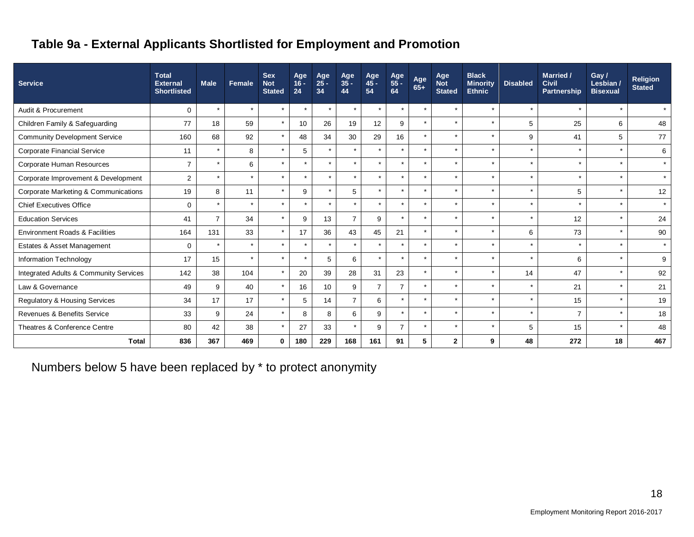# **Table 9a - External Applicants Shortlisted for Employment and Promotion**

| <b>Service</b>                                    | <b>Total</b><br><b>External</b><br><b>Shortlisted</b> | <b>Male</b>    | Female  | <b>Sex</b><br><b>Not</b><br><b>Stated</b> | Age<br>$16 -$<br>24 | Age<br>$25 -$<br>34 | Age<br>$35 -$<br>44 | Age<br>$45 -$<br>54 | Age<br>55 -<br>64 | Age<br>65+ | Age<br><b>Not</b><br><b>Stated</b> | <b>Black</b><br><b>Minority</b><br><b>Ethnic</b> | <b>Disabled</b> | Married /<br><b>Civil</b><br><b>Partnership</b> | Gay /<br>Lesbian /<br><b>Bisexual</b> | <b>Religion</b><br><b>Stated</b> |
|---------------------------------------------------|-------------------------------------------------------|----------------|---------|-------------------------------------------|---------------------|---------------------|---------------------|---------------------|-------------------|------------|------------------------------------|--------------------------------------------------|-----------------|-------------------------------------------------|---------------------------------------|----------------------------------|
| Audit & Procurement                               | $\mathbf 0$                                           | $\star$        | $\star$ | $\star$                                   | $\star$             | $\star$             | $\star$             | $\rightarrow$       | $\star$           | $\star$    |                                    | $\star$                                          | $\star$         | $\star$                                         | $\ddot{\phantom{1}}$                  | $\star$                          |
| Children Family & Safeguarding                    | 77                                                    | 18             | 59      | $\star$                                   | 10                  | 26                  | 19                  | 12                  | 9                 | $\star$    |                                    | $\star$                                          | 5               | 25                                              | 6                                     | 48                               |
| <b>Community Development Service</b>              | 160                                                   | 68             | 92      | $\star$                                   | 48                  | 34                  | 30                  | 29                  | 16                | $\star$    | $\star$                            | $\star$                                          | 9               | 41                                              | 5                                     | 77                               |
| <b>Corporate Financial Service</b>                | 11                                                    | $\star$        | 8       | $\star$                                   | 5                   | $\star$             | $\star$             |                     | $\star$           | $\star$    |                                    | $\star$                                          | $\star$         | $\star$                                         |                                       | 6                                |
| Corporate Human Resources                         | $\overline{ }$                                        | $\star$        | 6       | $\star$                                   |                     | $\star$             | $\star$             |                     | $\star$           | $\star$    | $\star$                            | $\star$                                          | $\star$         | $\star$                                         |                                       | $\star$                          |
| Corporate Improvement & Development               | $\overline{2}$                                        | $\star$        | $\star$ | $\star$                                   | $\star$             | $\star$             | $\star$             |                     | $\star$           | $\star$    | $\star$                            | $\star$                                          | $\star$         | $\star$                                         | $\star$                               | $\star$                          |
| Corporate Marketing & Communications              | 19                                                    | 8              | 11      | $\star$                                   | 9                   | $\star$             | 5                   |                     | $\star$           | $\star$    | $\star$                            | $\star$                                          | $\star$         | 5                                               |                                       | 12                               |
| <b>Chief Executives Office</b>                    | $\Omega$                                              | $\star$        | $\star$ | $\star$                                   | $\star$             | $\star$             | $\star$             |                     | $\star$           | $\star$    | $\star$                            | $\star$                                          | $\star$         | $\star$                                         | $\star$                               | $\star$                          |
| <b>Education Services</b>                         | 41                                                    | $\overline{7}$ | 34      | $\star$                                   | 9                   | 13                  | $\overline{7}$      | 9                   | $\star$           | $\star$    |                                    | $\star$                                          | $\star$         | 12                                              |                                       | 24                               |
| <b>Environment Roads &amp; Facilities</b>         | 164                                                   | 131            | 33      | $\star$                                   | 17                  | 36                  | 43                  | 45                  | 21                | $\star$    | $\star$                            | $\star$                                          | 6               | 73                                              | $\star$                               | 90                               |
| Estates & Asset Management                        | $\mathbf 0$                                           | $\star$        |         | $\star$                                   |                     |                     | $\star$             |                     | $\star$           | $\star$    | $\star$                            | $\star$                                          | $\star$         | $\star$                                         |                                       | $\star$                          |
| Information Technology                            | 17                                                    | 15             |         | $\star$                                   |                     | 5                   | 6                   |                     | $\star$           | $\star$    |                                    | $\star$                                          | $\star$         | 6                                               |                                       | 9                                |
| <b>Integrated Adults &amp; Community Services</b> | 142                                                   | 38             | 104     | $\star$                                   | 20                  | 39                  | 28                  | 31                  | 23                | $\star$    | $\star$                            | $\star$                                          | 14              | 47                                              |                                       | 92                               |
| Law & Governance                                  | 49                                                    | 9              | 40      | $\star$                                   | 16                  | 10                  | 9                   | $\overline{7}$      | $\overline{7}$    |            |                                    | $\star$                                          | $\star$         | 21                                              |                                       | 21                               |
| <b>Regulatory &amp; Housing Services</b>          | 34                                                    | 17             | 17      | $\star$                                   | 5                   | 14                  | $\overline{7}$      | 6                   | $\star$           | $\star$    | $\star$                            | $\star$                                          | $\star$         | 15                                              |                                       | 19                               |
| Revenues & Benefits Service                       | 33                                                    | 9              | 24      | $\star$                                   | 8                   | 8                   | 6                   | 9                   | $\star$           | $\star$    | $\star$                            | $\star$                                          | $\star$         | $\overline{7}$                                  |                                       | 18                               |
| Theatres & Conference Centre                      | 80                                                    | 42             | 38      | $\star$                                   | 27                  | 33                  |                     | 9                   | $\overline{7}$    |            | $\star$                            | $\star$                                          | 5               | 15                                              |                                       | 48                               |
| <b>Total</b>                                      | 836                                                   | 367            | 469     | 0                                         | 180                 | 229                 | 168                 | 161                 | 91                | 5          | $\mathbf{2}$                       | 9                                                | 48              | 272                                             | 18                                    | 467                              |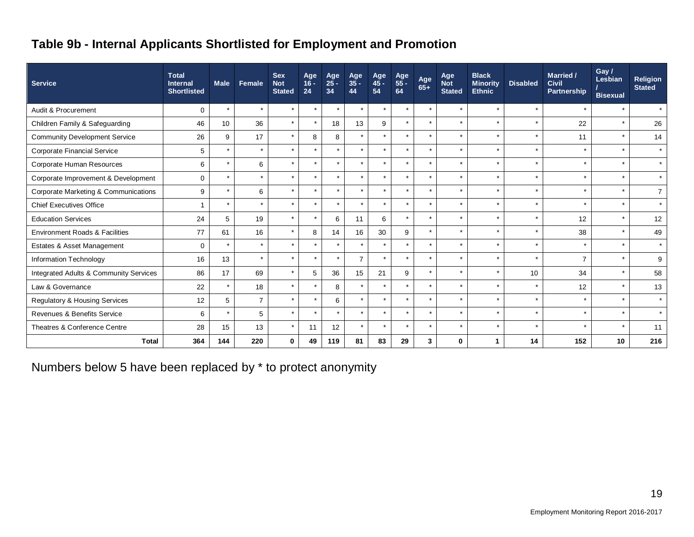# **Table 9b - Internal Applicants Shortlisted for Employment and Promotion**

| <b>Service</b>                            | <b>Total</b><br><b>Internal</b><br><b>Shortlisted</b> | <b>Male</b> | Female         | <b>Sex</b><br><b>Not</b><br><b>Stated</b> | Age<br>$16 -$<br>24 | Age<br>$25 -$<br>34 | Age<br>35 -<br>44    | Age<br>$45 -$<br>54 | Age<br>55 -<br>64 | Age<br>65+ | Age<br><b>Not</b><br><b>Stated</b> | <b>Black</b><br><b>Minority</b><br><b>Ethnic</b> | <b>Disabled</b> | <b>Married /</b><br><b>Civil</b><br><b>Partnership</b> | Gay /<br>Lesbian<br><b>Bisexual</b> | <b>Religion</b><br><b>Stated</b> |
|-------------------------------------------|-------------------------------------------------------|-------------|----------------|-------------------------------------------|---------------------|---------------------|----------------------|---------------------|-------------------|------------|------------------------------------|--------------------------------------------------|-----------------|--------------------------------------------------------|-------------------------------------|----------------------------------|
| Audit & Procurement                       | $\mathbf 0$                                           | $\star$     | $\star$        | $\star$                                   | $\star$             | $\star$             | $\star$              | $\star$             | $\star$           | $\star$    | $\star$                            | $\star$                                          | $\star$         | $\star$                                                | $\star$                             | $\star$                          |
| Children Family & Safeguarding            | 46                                                    | 10          | 36             | $\star$                                   | $\star$             | 18                  | 13                   | 9                   | $\star$           | $\star$    | $\star$                            |                                                  | $\star$         | 22                                                     |                                     | 26                               |
| <b>Community Development Service</b>      | 26                                                    | 9           | 17             | $\star$                                   | 8                   | 8                   | $\star$              | $\star$             | $\star$           | $\star$    | $\star$                            |                                                  | $\star$         | 11                                                     | $\star$                             | 14                               |
| <b>Corporate Financial Service</b>        | 5                                                     |             | $\star$        | $\star$                                   | $\star$             | $\star$             | $\star$              | ÷                   | $\star$           | $\star$    | $\star$                            | $\star$                                          | $\star$         | $\star$                                                | $\star$                             | $\star$                          |
| Corporate Human Resources                 | 6                                                     |             | 6              | $\star$                                   | $\star$             | $\star$             | $\ddot{\phantom{0}}$ |                     | $\star$           | $\star$    | $\star$                            |                                                  | $\star$         | ÷                                                      |                                     | $\star$                          |
| Corporate Improvement & Development       | $\mathbf 0$                                           |             | $\star$        | $\star$                                   | $\star$             | $\star$             | $\star$              |                     | $\star$           | $\star$    | $\star$                            | $\star$                                          | $\star$         | $\star$                                                | $\star$                             | $\star$                          |
| Corporate Marketing & Communications      | 9                                                     | $\star$     | 6              | $\star$                                   | $\star$             | $\star$             | $\star$              | $\star$             | $\star$           | $\star$    | $\star$                            | $\star$                                          | $\star$         | $\star$                                                | $\star$                             | $\overline{7}$                   |
| <b>Chief Executives Office</b>            | 1                                                     | $\star$     | $\star$        | $\star$                                   | $\star$             | $\star$             | $\star$              | $\star$             | $\star$           | $\star$    | $\star$                            | $\star$                                          | $\star$         | $\star$                                                | $\star$                             | $\star$                          |
| <b>Education Services</b>                 | 24                                                    | 5           | 19             | $\star$                                   | $\star$             | 6                   | 11                   | 6                   | $\star$           | $\star$    | $\star$                            |                                                  | $\rightarrow$   | 12                                                     | $\star$                             | 12                               |
| <b>Environment Roads &amp; Facilities</b> | 77                                                    | 61          | 16             | $\star$                                   | 8                   | 14                  | 16                   | 30                  | 9                 | $\star$    | $\star$                            |                                                  | $\star$         | 38                                                     | $\star$                             | 49                               |
| Estates & Asset Management                | $\mathbf 0$                                           |             | $\star$        | $\star$                                   | $\star$             | $\star$             | $\star$              |                     | $\star$           | $\star$    | $\star$                            |                                                  | $\star$         | $\star$                                                | $\star$                             | $\star$                          |
| Information Technology                    | 16                                                    | 13          | $\star$        |                                           |                     | $\star$             | $\overline{7}$       |                     | $\star$           | $\star$    | $\star$                            |                                                  |                 | $\overline{7}$                                         |                                     | 9                                |
| Integrated Adults & Community Services    | 86                                                    | 17          | 69             | $\star$                                   | 5                   | 36                  | 15                   | 21                  | 9                 | $\star$    | $\star$                            | $\star$                                          | 10 <sup>1</sup> | 34                                                     | $\star$                             | 58                               |
| Law & Governance                          | 22                                                    |             | 18             | $\star$                                   | $\star$             | 8                   | $\star$              | $\star$             | $\star$           | $\star$    | $\star$                            |                                                  |                 | 12                                                     |                                     | 13                               |
| Regulatory & Housing Services             | 12                                                    | 5           | $\overline{7}$ | $\star$                                   | $\star$             | 6                   | $\star$              |                     | $\star$           | $\star$    | $\star$                            | $\star$                                          | $\star$         |                                                        | $\star$                             | $\star$                          |
| Revenues & Benefits Service               | 6                                                     |             | 5              | $\star$                                   | $\star$             | $\star$             | $\star$              | ÷                   | $\star$           | $\star$    | $\star$                            | $\star$                                          | $\star$         | $\star$                                                | $\star$                             | $\star$                          |
| Theatres & Conference Centre              | 28                                                    | 15          | 13             | $\star$                                   | 11                  | 12                  | $\star$              |                     | $\star$           | $\star$    | $\star$                            |                                                  | $\star$         |                                                        |                                     | 11                               |
| <b>Total</b>                              | 364                                                   | 144         | 220            | 0                                         | 49                  | 119                 | 81                   | 83                  | 29                | 3          | $\bf{0}$                           |                                                  | 14              | 152                                                    | 10                                  | 216                              |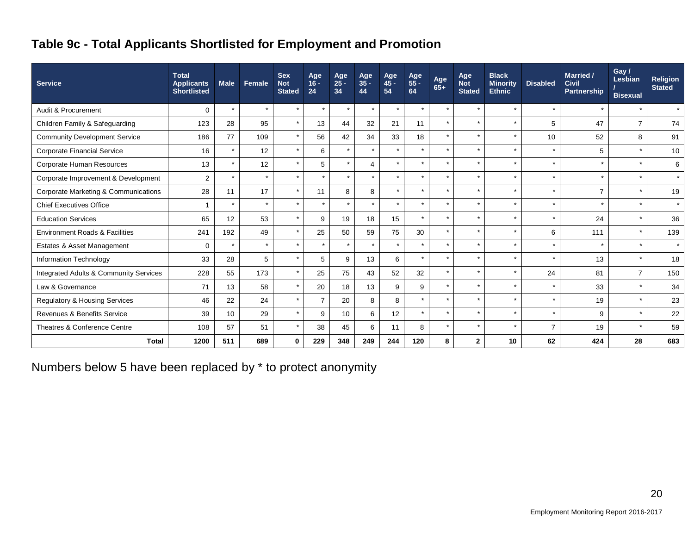# **Table 9c - Total Applicants Shortlisted for Employment and Promotion**

| <b>Service</b>                            | <b>Total</b><br><b>Applicants</b><br><b>Shortlisted</b> | <b>Male</b> | Female  | <b>Sex</b><br><b>Not</b><br><b>Stated</b> | Age<br>$16 -$<br>24 | Age<br>$25 -$<br>34 | Age<br>$35 -$<br>44 | Age<br>45 -<br>54 | Age<br>55 -<br>64 | Age<br>$65+$   | Age<br><b>Not</b><br><b>Stated</b> | <b>Black</b><br><b>Minority</b><br><b>Ethnic</b> | <b>Disabled</b> | Married /<br><b>Civil</b><br>Partnership | Gay /<br>Lesbian<br><b>Bisexual</b> | Religion<br><b>Stated</b> |
|-------------------------------------------|---------------------------------------------------------|-------------|---------|-------------------------------------------|---------------------|---------------------|---------------------|-------------------|-------------------|----------------|------------------------------------|--------------------------------------------------|-----------------|------------------------------------------|-------------------------------------|---------------------------|
| Audit & Procurement                       | 0                                                       |             | $\star$ | $\star$                                   | $\star$             | $\star$             | $\star$             | $\star$           | $\star$           | $\star$        | $\star$                            | $\star$                                          | $\star$         | $\star$                                  | $\star$                             | $\star$                   |
| Children Family & Safeguarding            | 123                                                     | 28          | 95      | $\star$                                   | 13                  | 44                  | 32                  | 21                | 11                | $\star$        | $\star$                            | $\star$                                          | 5               | 47                                       | $\overline{7}$                      | 74                        |
| <b>Community Development Service</b>      | 186                                                     | 77          | 109     | $\star$                                   | 56                  | 42                  | 34                  | 33                | 18                | $\star$        | $\star$                            | $\star$                                          | 10              | 52                                       | 8                                   | 91                        |
| <b>Corporate Financial Service</b>        | 16                                                      |             | 12      | $\star$                                   | 6                   | $\star$             | $\star$             |                   | $\star$           | $\star$        |                                    | $\star$                                          | $\star$         | 5                                        | $\star$                             | 10                        |
| Corporate Human Resources                 | 13                                                      |             | 12      | $\star$                                   | 5                   | $\star$             | 4                   | $\star$           | $\star$           | $\star$        |                                    | $\star$                                          | $\star$         | $\star$                                  | $\star$                             | 6                         |
| Corporate Improvement & Development       | $\overline{2}$                                          |             | $\star$ | $\star$                                   | $\star$             | $\star$             | $\star$             | $\star$           | $\star$           | $\star$        | $\star$                            | $\star$                                          | $\star$         | $\star$                                  | $\star$                             | $\star$                   |
| Corporate Marketing & Communications      | 28                                                      | 11          | 17      | $\star$                                   | 11                  | 8                   | 8                   | $\star$           | $\star$           | $\overline{a}$ |                                    | $\star$                                          | $\star$         | $\overline{7}$                           | $\star$                             | 19                        |
| <b>Chief Executives Office</b>            | -1                                                      | $\star$     | $\star$ | $\star$                                   | $\star$             | $\star$             | $\star$             | $\star$           | $\star$           | $\star$        | $\star$                            | $\star$                                          | $\star$         | $\star$                                  | $\star$                             | $\star$                   |
| <b>Education Services</b>                 | 65                                                      | 12          | 53      | $\star$                                   | 9                   | 19                  | 18                  | 15                | $\star$           | $\star$        |                                    | $\star$                                          | $\star$         | 24                                       | $\star$                             | 36                        |
| <b>Environment Roads &amp; Facilities</b> | 241                                                     | 192         | 49      | $\star$                                   | 25                  | 50                  | 59                  | 75                | 30                | $\star$        | $\star$                            | $\star$                                          | 6               | 111                                      | $\star$                             | 139                       |
| Estates & Asset Management                | $\mathbf 0$                                             |             | $\star$ | $\star$                                   | $\star$             | $\star$             | $\star$             |                   | $\star$           | $\star$        | $\star$                            | $\star$                                          | $\star$         | $\star$                                  | $\star$                             | $\star$                   |
| Information Technology                    | 33                                                      | 28          | 5       | $\star$                                   | 5                   | 9                   | 13                  | 6                 | $\star$           | $\star$        | ÷                                  | $\star$                                          | $\star$         | 13                                       | $\star$                             | 18                        |
| Integrated Adults & Community Services    | 228                                                     | 55          | 173     | $\star$                                   | 25                  | 75                  | 43                  | 52                | 32                | $\star$        | $\star$                            | $\star$                                          | 24              | 81                                       | $\overline{7}$                      | 150                       |
| Law & Governance                          | 71                                                      | 13          | 58      | $\star$                                   | 20                  | 18                  | 13                  | 9                 | 9                 | $\star$        |                                    | $\star$                                          | $\star$         | 33                                       |                                     | 34                        |
| <b>Regulatory &amp; Housing Services</b>  | 46                                                      | 22          | 24      | $\star$                                   | $\overline{7}$      | 20                  | 8                   | 8                 | $\star$           | $\star$        | $\star$                            | $\star$                                          | $\star$         | 19                                       | $\star$                             | 23                        |
| Revenues & Benefits Service               | 39                                                      | 10          | 29      | $\star$                                   | 9                   | 10                  | 6                   | 12                | $\star$           | $\star$        | $\star$                            | $\star$                                          | $\star$         | 9                                        | $\star$                             | 22                        |
| Theatres & Conference Centre              | 108                                                     | 57          | 51      | $\star$                                   | 38                  | 45                  | 6                   | 11                | 8                 | $\star$        |                                    | $\star$                                          | $\overline{7}$  | 19                                       |                                     | 59                        |
| <b>Total</b>                              | 1200                                                    | 511         | 689     | $\mathbf 0$                               | 229                 | 348                 | 249                 | 244               | 120               | 8              | $\mathbf{2}$                       | 10                                               | 62              | 424                                      | 28                                  | 683                       |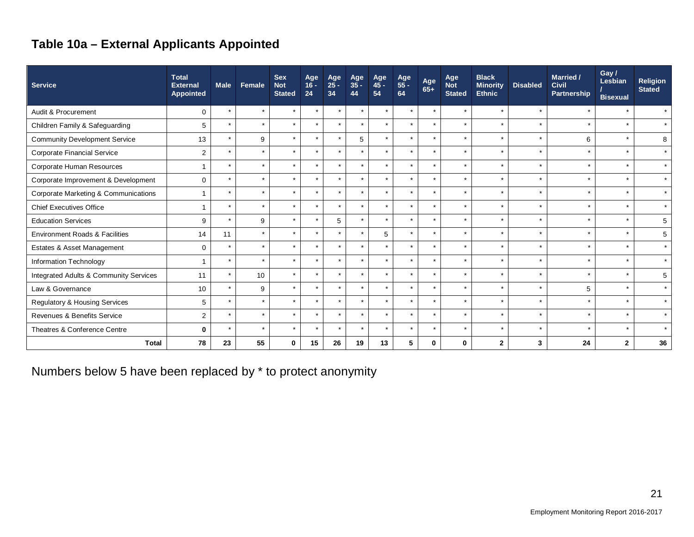# **Table 10a – External Applicants Appointed**

| <b>Service</b>                            | <b>Total</b><br><b>External</b><br>Appointed | <b>Male</b> | Female  | <b>Sex</b><br><b>Not</b><br><b>Stated</b> | Age<br>$16 -$<br>24  | Age<br>25 -<br>34 | Age<br>$35 -$<br>44 | Age<br>45 -<br>54    | Age<br>55 -<br>64 | Age<br>$65+$         | Age<br><b>Not</b><br><b>Stated</b> | <b>Black</b><br><b>Minority</b><br><b>Ethnic</b> | <b>Disabled</b> | Married /<br><b>Civil</b><br>Partnership | Gay /<br>Lesbian<br><b>Bisexual</b> | <b>Religion</b><br><b>Stated</b> |
|-------------------------------------------|----------------------------------------------|-------------|---------|-------------------------------------------|----------------------|-------------------|---------------------|----------------------|-------------------|----------------------|------------------------------------|--------------------------------------------------|-----------------|------------------------------------------|-------------------------------------|----------------------------------|
| Audit & Procurement                       | $\mathbf 0$                                  | $\star$     | $\star$ | $\star$                                   | $\star$              | $\star$           | $\star$             |                      | $\star$           |                      | $\star$                            | $\star$                                          |                 |                                          | $\star$                             | $\star$                          |
| Children Family & Safeguarding            | 5                                            | $\star$     | $\star$ | $\star$                                   | $\star$              | $\star$           | $\star$             | $\star$              | $\star$           | $\star$              | $\star$                            | $\star$                                          |                 | $\star$                                  | $\star$                             | $\star$                          |
| <b>Community Development Service</b>      | 13                                           | $\star$     | 9       | $\star$                                   | $\star$              | $\star$           | 5                   | $\star$              | $\star$           |                      | $\star$                            | $\star$                                          |                 | 6                                        | $\star$                             | 8                                |
| <b>Corporate Financial Service</b>        | $\overline{2}$                               | $\star$     | $\star$ | $\star$                                   | $\star$              | $\star$           | $\star$             | $\star$              | $\star$           | $\ddot{\phantom{1}}$ | ÷                                  | ÷                                                |                 | $\star$                                  | $\star$                             | $\star$                          |
| Corporate Human Resources                 | -1                                           |             | $\star$ | $\star$                                   |                      | $\star$           | $\star$             |                      | $\star$           |                      | $\star$                            |                                                  |                 |                                          | $\star$                             | $\star$                          |
| Corporate Improvement & Development       | $\mathbf 0$                                  | $\star$     | $\star$ | $\star$                                   | $\star$              | $\star$           | $\star$             | $\star$              | $\star$           |                      | $\star$                            | $\star$                                          |                 | $\star$                                  | $\star$                             | $\star$                          |
| Corporate Marketing & Communications      | $\overline{1}$                               |             | $\star$ | $\star$                                   |                      | $\star$           | $\star$             | $\star$              | $\star$           |                      | $\star$                            | $\star$                                          |                 | $\star$                                  | $\star$                             | $\star$                          |
| <b>Chief Executives Office</b>            | $\overline{1}$                               | $\star$     | $\star$ | $\star$                                   | $\star$              | $\star$           | $\star$             | $\star$              | $\star$           | $\star$              | $\star$                            | $\star$                                          | $\star$         | $\star$                                  | $\star$                             | $\star$                          |
| <b>Education Services</b>                 | 9                                            | $\star$     | 9       | $\star$                                   | $\star$              | 5                 | $\star$             | $\star$              | $\star$           |                      | $\star$                            | $\star$                                          |                 |                                          | $\star$                             | 5                                |
| <b>Environment Roads &amp; Facilities</b> | 14                                           | 11          | $\star$ | $\star$                                   | $\star$              | $\star$           | $\star$             | 5                    | $\star$           | $\star$              | $\star$                            | $\star$                                          |                 | $\star$                                  | $\star$                             | 5                                |
| Estates & Asset Management                | $\mathbf 0$                                  |             | $\star$ | $\star$                                   | $\ddot{\phantom{0}}$ | $\star$           | $\star$             | $\ddot{\phantom{1}}$ | $\star$           |                      | $\star$                            | ÷                                                |                 | ÷                                        | $\star$                             | $\star$                          |
| Information Technology                    |                                              | $\star$     | $\star$ | $\star$                                   | $\ddot{\phantom{0}}$ | $\star$           | $\star$             | $\star$              | $\star$           |                      | $\star$                            | $\star$                                          |                 | $\ddot{\phantom{0}}$                     | $\star$                             | $\star$                          |
| Integrated Adults & Community Services    | 11                                           | $\star$     | 10      | $\star$                                   | $\star$              | $\star$           | $\star$             | $\star$              | $\star$           | $\ddot{\phantom{1}}$ | $\star$                            | $\star$                                          |                 | $\star$                                  | $\star$                             | 5                                |
| Law & Governance                          | 10                                           |             | 9       | $\star$                                   |                      | $\star$           | $\star$             |                      |                   |                      | $\star$                            |                                                  |                 | 5                                        | $\star$                             | $\star$                          |
| Regulatory & Housing Services             | 5                                            | $\star$     | $\star$ | $\star$                                   |                      | $\star$           | $\star$             | $\star$              | $\star$           |                      | $\star$                            | $\star$                                          |                 | $\star$                                  | $\star$                             | $\star$                          |
| Revenues & Benefits Service               | $\overline{2}$                               |             | $\star$ | $\star$                                   |                      | $\star$           | $\star$             | $\star$              | $\star$           |                      | $\star$                            | $\star$                                          |                 |                                          | $\star$                             | $\star$                          |
| Theatres & Conference Centre              | $\mathbf{0}$                                 | $\star$     | $\star$ | $\star$                                   | $\star$              | $\star$           | $\star$             | $\star$              | $\star$           |                      | $\star$                            | $\star$                                          |                 | $\star$                                  | $\star$                             | $\star$                          |
| <b>Total</b>                              | 78                                           | 23          | 55      | 0                                         | 15                   | 26                | 19                  | 13                   | 5                 | $\mathbf{0}$         | $\mathbf{0}$                       | $\overline{2}$                                   | 3               | 24                                       | $\mathbf{2}$                        | 36                               |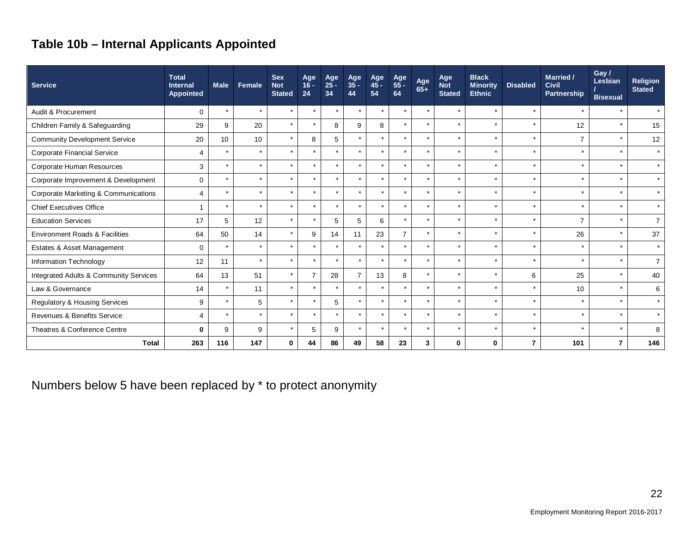# **Table 10b – Internal Applicants Appointed**

| <b>Service</b>                            | <b>Total</b><br><b>Internal</b><br><b>Appointed</b> | <b>Male</b>     | Female  | <b>Sex</b><br><b>Not</b><br><b>Stated</b> | Age<br>$16 -$<br>24  | Age<br>$25 -$<br>34 | Age<br>35 -<br>44    | Age<br>45 -<br>54    | Age<br>55 -<br>64 | Age<br>65+           | Age<br><b>Not</b><br><b>Stated</b> | <b>Black</b><br><b>Minority</b><br><b>Ethnic</b> | <b>Disabled</b> | Married /<br><b>Civil</b><br>Partnership | Gay /<br>Lesbian<br><b>Bisexual</b> | <b>Religion</b><br><b>Stated</b> |
|-------------------------------------------|-----------------------------------------------------|-----------------|---------|-------------------------------------------|----------------------|---------------------|----------------------|----------------------|-------------------|----------------------|------------------------------------|--------------------------------------------------|-----------------|------------------------------------------|-------------------------------------|----------------------------------|
| Audit & Procurement                       | $\mathbf 0$                                         | $\star$         | $\star$ | $\star$                                   | $\star$              | $\star$             | $\star$              | $\star$              | $\star$           | $\star$              | $\star$                            | $\star$                                          | $\star$         | $\star$                                  | $\star$                             | $\star$                          |
| Children Family & Safeguarding            | 29                                                  | 9               | 20      | $\star$                                   | $\star$              | 8                   | 9                    | 8                    | $\star$           | $\star$              | $\star$                            | $\star$                                          | $\rightarrow$   | 12                                       | $\star$                             | 15                               |
| <b>Community Development Service</b>      | 20                                                  | 10 <sup>1</sup> | 10      | $\star$                                   | 8                    | 5                   |                      |                      | $\star$           | $\star$              | ÷                                  | $\star$                                          | $\star$         | $\overline{7}$                           | $\star$                             | 12                               |
| <b>Corporate Financial Service</b>        | $\overline{4}$                                      | $\star$         | $\star$ | $\star$                                   | $\star$              | $\star$             |                      |                      | $\star$           |                      | $\star$                            |                                                  | $\rightarrow$   | $\star$                                  | $\star$                             | $\star$                          |
| Corporate Human Resources                 | 3                                                   | $\star$         | $\star$ | $\star$                                   | $\star$              | $\star$             | $\ddot{\phantom{1}}$ |                      | $\star$           | $\star$              | $\star$                            |                                                  | $\star$         | $\star$                                  | $\star$                             | $\star$                          |
| Corporate Improvement & Development       | $\mathbf 0$                                         | $\star$         | $\star$ | $\star$                                   | $\star$              | $\star$             | $\star$              |                      | $\star$           | $\star$              | $\star$                            | $\star$                                          | $\star$         | $\star$                                  | $\star$                             | $\star$                          |
| Corporate Marketing & Communications      | $\overline{4}$                                      | $\star$         | $\star$ |                                           | $\star$              | $\star$             | $\ddot{\phantom{1}}$ |                      | $\star$           | $\ddot{\phantom{1}}$ | $\star$                            |                                                  | $\star$         | $\star$                                  | $\star$                             | $\star$                          |
| <b>Chief Executives Office</b>            | 1                                                   | $\star$         | $\star$ | $\star$                                   | $\star$              | $\star$             | $\star$              | $\star$              | $\star$           | $\star$              | $\star$                            | $\star$                                          | $\star$         | $\star$                                  | $\star$                             | $\star$                          |
| <b>Education Services</b>                 | 17                                                  | 5               | 12      | $\star$                                   | $\star$              | 5                   | 5                    | 6                    | $\star$           | $\star$              | ÷                                  | $\star$                                          | $\rightarrow$   | $\overline{7}$                           | $\star$                             | $\overline{7}$                   |
| <b>Environment Roads &amp; Facilities</b> | 64                                                  | 50              | 14      | $\star$                                   | 9                    | 14                  | 11                   | 23                   | $\overline{7}$    | $\star$              | $\star$                            | $\star$                                          | $\star$         | 26                                       | $\star$                             | 37                               |
| Estates & Asset Management                | $\mathbf 0$                                         | $\star$         | $\star$ |                                           |                      | $\star$             |                      |                      | $\star$           | $\star$              | $\star$                            |                                                  | $\rightarrow$   | $\star$                                  | $\star$                             | $\star$                          |
| Information Technology                    | 12                                                  | 11              | $\star$ | $\star$                                   | $\star$              | $\star$             | $\ddot{\phantom{1}}$ |                      | $\star$           | $\star$              | ÷                                  | $\star$                                          | $\star$         | $\star$                                  | $\star$                             | $\overline{7}$                   |
| Integrated Adults & Community Services    | 64                                                  | 13              | 51      | $\star$                                   | $\overline{7}$       | 28                  | $\overline{7}$       | 13                   | 8                 | $\star$              | $\star$                            | $\star$                                          | 6               | 25                                       | $\star$                             | 40                               |
| Law & Governance                          | 14                                                  | $\star$         | 11      | $\star$                                   | $\star$              | $\star$             | $\star$              |                      | $\star$           | $\star$              | $\star$                            | $\star$                                          | $\star$         | 10                                       | $\star$                             | 6                                |
| Regulatory & Housing Services             | 9                                                   | $\star$         | 5       | $\star$                                   | $\star$              | 5                   | $\star$              | $\star$              | $\star$           | $\star$              | $\star$                            | $\star$                                          | $\star$         | $\star$                                  | $\star$                             | $\star$                          |
| Revenues & Benefits Service               | $\overline{4}$                                      | $\star$         |         |                                           | $\ddot{\phantom{1}}$ | $\star$             | $\bullet$            |                      | $\star$           | $\ddot{\phantom{1}}$ |                                    |                                                  | $\star$         | $\star$                                  | $\star$                             | $\star$                          |
| Theatres & Conference Centre              | 0                                                   | 9               | 9       | $\star$                                   | 5                    | 9                   | $\star$              | $\ddot{\phantom{1}}$ | $\star$           | $\star$              | $\star$                            | $\star$                                          | $\star$         | $\star$                                  | $\star$                             | 8                                |
| Total                                     | 263                                                 | 116             | 147     | $\bf{0}$                                  | 44                   | 86                  | 49                   | 58                   | 23                | 3                    | $\bf{0}$                           | 0                                                | 7               | 101                                      | $\overline{7}$                      | 146                              |

Numbers below 5 have been replaced by \* to protect anonymity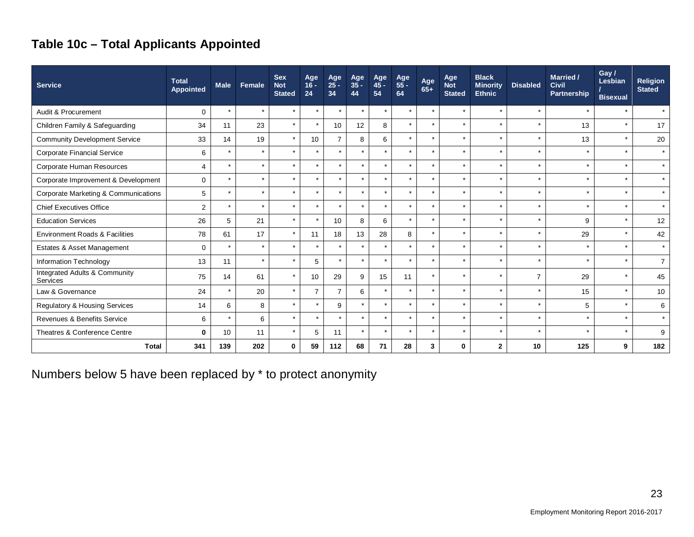# **Table 10c – Total Applicants Appointed**

| <b>Service</b>                                  | <b>Total</b><br>Appointed | <b>Male</b> | Female  | <b>Sex</b><br><b>Not</b><br><b>Stated</b> | Age<br>$16 -$<br>24 | Age<br>25 -<br>34 | Age<br>35 -<br>44 | Age<br>$45 -$<br>54 | Age<br>55 -<br>64 | Age<br>$65+$ | Age<br><b>Not</b><br><b>Stated</b> | <b>Black</b><br><b>Minority</b><br><b>Ethnic</b> | <b>Disabled</b> | Married /<br><b>Civil</b><br>Partnership | Gay /<br>Lesbian<br><b>Bisexual</b> | <b>Religion</b><br><b>Stated</b> |
|-------------------------------------------------|---------------------------|-------------|---------|-------------------------------------------|---------------------|-------------------|-------------------|---------------------|-------------------|--------------|------------------------------------|--------------------------------------------------|-----------------|------------------------------------------|-------------------------------------|----------------------------------|
| Audit & Procurement                             | 0                         | $\star$     |         | $\star$                                   | $\star$             | $\star$           | $\star$           | $\star$             | $\star$           | $\star$      | $\star$                            | $\star$                                          | $\star$         |                                          |                                     | $\star$                          |
| Children Family & Safeguarding                  | 34                        | 11          | 23      | $\star$                                   | $\star$             | 10                | 12                | 8                   | $\star$           | $\star$      | $\star$                            | $\star$                                          | $\star$         | 13                                       |                                     | 17                               |
| <b>Community Development Service</b>            | 33                        | 14          | 19      | $\star$                                   | 10                  | $\overline{7}$    | 8                 | 6                   | $\star$           | $\star$      | $\star$                            | $\star$                                          | $\star$         | 13                                       |                                     | 20                               |
| Corporate Financial Service                     | 6                         | $\star$     |         | $\star$                                   | $\star$             | $\star$           |                   | $\star$             | $\star$           | $\star$      | $\star$                            | $\star$                                          | $\star$         |                                          |                                     | $\star$                          |
| Corporate Human Resources                       | 4                         | $\star$     | $\star$ | $\star$                                   | $\star$             | $\star$           | $\star$           | $\star$             | $\star$           | $\star$      | $\star$                            | $\star$                                          | $\star$         | $\ddot{\phantom{1}}$                     | $\star$                             | $\star$                          |
| Corporate Improvement & Development             | $\mathbf 0$               | $\star$     |         | $\star$                                   | $\star$             | $\bullet$         | $\star$           | $\star$             | $\star$           | $\star$      | $\star$                            | $\star$                                          | $\star$         |                                          |                                     | $\star$                          |
| <b>Corporate Marketing &amp; Communications</b> | 5                         | $\star$     | ÷       | $\star$                                   | $\star$             | $\star$           | $\star$           | $\star$             | $\star$           | $\star$      | $\star$                            | $\star$                                          | $\star$         |                                          | $\star$                             | $\star$                          |
| <b>Chief Executives Office</b>                  | 2                         | $\star$     |         |                                           | $\star$             |                   |                   | $\star$             | $\star$           | $\star$      | $\star$                            | $\star$                                          | $\star$         |                                          |                                     | $\star$                          |
| <b>Education Services</b>                       | 26                        | 5           | 21      | $\star$                                   | $\star$             | 10                | 8                 | 6                   | $\star$           | $\star$      | $\star$                            | $\star$                                          | $\star$         | 9                                        |                                     | 12                               |
| <b>Environment Roads &amp; Facilities</b>       | 78                        | 61          | 17      | $\star$                                   | 11                  | 18                | 13                | 28                  | 8                 | $\star$      | $\star$                            | $\star$                                          | $\star$         | 29                                       |                                     | 42                               |
| Estates & Asset Management                      | $\mathbf 0$               |             |         |                                           | $\star$             | ÷                 |                   | $\star$             | $\star$           | $\star$      | $\star$                            | ÷                                                | $\star$         |                                          |                                     | $\star$                          |
| Information Technology                          | 13                        | 11          |         | $\star$                                   | 5                   | $\star$           | $\star$           | $\star$             | $\star$           | $\star$      | $\star$                            | $\star$                                          | $\star$         |                                          |                                     | $\overline{7}$                   |
| Integrated Adults & Community<br>Services       | 75                        | 14          | 61      | $\star$                                   | 10                  | 29                | 9                 | 15                  | 11                | $\star$      | $\star$                            | $\star$                                          | $\overline{7}$  | 29                                       |                                     | 45                               |
| Law & Governance                                | 24                        | $\star$     | 20      | $\star$                                   | $\overline{7}$      | $\overline{7}$    | 6                 | $\star$             | $\star$           | $\star$      | $\star$                            | $\star$                                          | $\star$         | 15                                       |                                     | 10                               |
| Regulatory & Housing Services                   | 14                        | 6           | 8       | $\star$                                   | $\star$             | 9                 |                   | $\star$             | $\star$           | $\star$      | $\star$                            | $\star$                                          | $\star$         | 5                                        |                                     | 6                                |
| Revenues & Benefits Service                     | 6                         |             | 6       | $\star$                                   | $\star$             |                   |                   | $\star$             | $\star$           | $\star$      | $\star$                            | $\star$                                          | $\star$         |                                          |                                     | $\star$                          |
| Theatres & Conference Centre                    | $\bf{0}$                  | 10          | 11      |                                           | 5                   | 11                |                   | $\star$             | $\star$           | $\star$      | $\star$                            |                                                  | $\star$         |                                          |                                     | 9                                |
| <b>Total</b>                                    | 341                       | 139         | 202     | $\bf{0}$                                  | 59                  | 112               | 68                | 71                  | 28                | 3            | 0                                  | $\mathbf{2}$                                     | 10              | 125                                      | 9                                   | 182                              |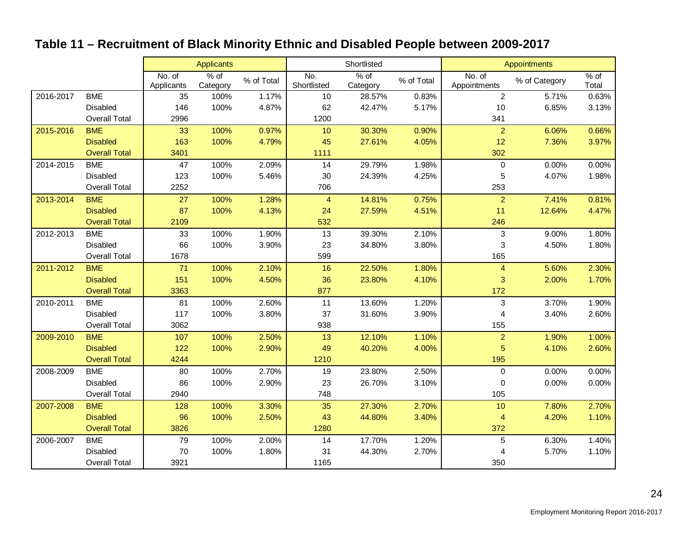# **Table 11 – Recruitment of Black Minority Ethnic and Disabled People between 2009-2017**

|           |                      |                      | <b>Applicants</b>  |            |                    | Shortlisted      |            |                        | Appointments  |               |
|-----------|----------------------|----------------------|--------------------|------------|--------------------|------------------|------------|------------------------|---------------|---------------|
|           |                      | No. of<br>Applicants | $%$ of<br>Category | % of Total | No.<br>Shortlisted | % of<br>Category | % of Total | No. of<br>Appointments | % of Category | % of<br>Total |
| 2016-2017 | <b>BME</b>           | 35                   | 100%               | 1.17%      | 10                 | 28.57%           | 0.83%      | $\overline{2}$         | 5.71%         | 0.63%         |
|           | Disabled             | 146                  | 100%               | 4.87%      | 62                 | 42.47%           | 5.17%      | 10                     | 6.85%         | 3.13%         |
|           | <b>Overall Total</b> | 2996                 |                    |            | 1200               |                  |            | 341                    |               |               |
| 2015-2016 | <b>BME</b>           | 33                   | 100%               | 0.97%      | 10                 | 30.30%           | 0.90%      | $\overline{2}$         | 6.06%         | 0.66%         |
|           | <b>Disabled</b>      | 163                  | 100%               | 4.79%      | 45                 | 27.61%           | 4.05%      | 12                     | 7.36%         | 3.97%         |
|           | <b>Overall Total</b> | 3401                 |                    |            | 1111               |                  |            | 302                    |               |               |
| 2014-2015 | <b>BME</b>           | 47                   | 100%               | 2.09%      | 14                 | 29.79%           | 1.98%      | $\mathbf 0$            | 0.00%         | 0.00%         |
|           | Disabled             | 123                  | 100%               | 5.46%      | 30                 | 24.39%           | 4.25%      | 5                      | 4.07%         | 1.98%         |
|           | <b>Overall Total</b> | 2252                 |                    |            | 706                |                  |            | 253                    |               |               |
| 2013-2014 | <b>BME</b>           | 27                   | 100%               | 1.28%      | $\overline{4}$     | 14.81%           | 0.75%      | $\overline{a}$         | 7.41%         | 0.81%         |
|           | <b>Disabled</b>      | 87                   | 100%               | 4.13%      | 24                 | 27.59%           | 4.51%      | 11                     | 12.64%        | 4.47%         |
|           | <b>Overall Total</b> | 2109                 |                    |            | 532                |                  |            | 246                    |               |               |
| 2012-2013 | <b>BME</b>           | 33                   | 100%               | 1.90%      | 13                 | 39.30%           | 2.10%      | $\sqrt{3}$             | 9.00%         | 1.80%         |
|           | <b>Disabled</b>      | 66                   | 100%               | 3.90%      | 23                 | 34.80%           | 3.80%      | $\sqrt{3}$             | 4.50%         | 1.80%         |
|           | <b>Overall Total</b> | 1678                 |                    |            | 599                |                  |            | 165                    |               |               |
| 2011-2012 | <b>BME</b>           | 71                   | 100%               | 2.10%      | 16                 | 22.50%           | 1.80%      | $\overline{4}$         | 5.60%         | 2.30%         |
|           | <b>Disabled</b>      | 151                  | 100%               | 4.50%      | 36                 | 23.80%           | 4.10%      | 3                      | 2.00%         | 1.70%         |
|           | <b>Overall Total</b> | 3363                 |                    |            | 877                |                  |            | 172                    |               |               |
| 2010-2011 | <b>BME</b>           | 81                   | 100%               | 2.60%      | 11                 | 13.60%           | 1.20%      | 3                      | 3.70%         | 1.90%         |
|           | Disabled             | 117                  | 100%               | 3.80%      | 37                 | 31.60%           | 3.90%      | 4                      | 3.40%         | 2.60%         |
|           | <b>Overall Total</b> | 3062                 |                    |            | 938                |                  |            | 155                    |               |               |
| 2009-2010 | <b>BME</b>           | 107                  | 100%               | 2.50%      | 13                 | 12.10%           | 1.10%      | $\overline{a}$         | 1.90%         | 1.00%         |
|           | <b>Disabled</b>      | 122                  | 100%               | 2.90%      | 49                 | 40.20%           | 4.00%      | 5                      | 4.10%         | 2.60%         |
|           | <b>Overall Total</b> | 4244                 |                    |            | 1210               |                  |            | 195                    |               |               |
| 2008-2009 | <b>BME</b>           | 80                   | 100%               | 2.70%      | 19                 | 23.80%           | 2.50%      | $\mathbf 0$            | 0.00%         | 0.00%         |
|           | Disabled             | 86                   | 100%               | 2.90%      | 23                 | 26.70%           | 3.10%      | $\pmb{0}$              | 0.00%         | 0.00%         |
|           | <b>Overall Total</b> | 2940                 |                    |            | 748                |                  |            | 105                    |               |               |
| 2007-2008 | <b>BME</b>           | 128                  | 100%               | 3.30%      | 35                 | 27.30%           | 2.70%      | 10                     | 7.80%         | 2.70%         |
|           | <b>Disabled</b>      | 96                   | 100%               | 2.50%      | 43                 | 44.80%           | 3.40%      | $\overline{4}$         | 4.20%         | 1.10%         |
|           | <b>Overall Total</b> | 3826                 |                    |            | 1280               |                  |            | 372                    |               |               |
| 2006-2007 | <b>BME</b>           | 79                   | 100%               | 2.00%      | 14                 | 17.70%           | 1.20%      | 5                      | 6.30%         | 1.40%         |
|           | Disabled             | 70                   | 100%               | 1.80%      | 31                 | 44.30%           | 2.70%      | 4                      | 5.70%         | 1.10%         |
|           | <b>Overall Total</b> | 3921                 |                    |            | 1165               |                  |            | 350                    |               |               |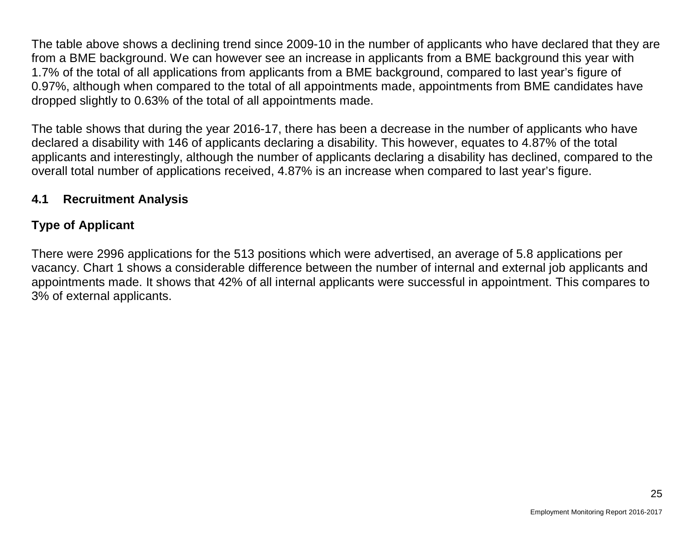The table above shows a declining trend since 2009-10 in the number of applicants who have declared that they are from a BME background. We can however see an increase in applicants from a BME background this year with 1.7% of the total of all applications from applicants from a BME background, compared to last year's figure of 0.97%, although when compared to the total of all appointments made, appointments from BME candidates have dropped slightly to 0.63% of the total of all appointments made.

The table shows that during the year 2016-17, there has been a decrease in the number of applicants who have declared a disability with 146 of applicants declaring a disability. This however, equates to 4.87% of the total applicants and interestingly, although the number of applicants declaring a disability has declined, compared to the overall total number of applications received, 4.87% is an increase when compared to last year's figure.

## **4.1 Recruitment Analysis**

# **Type of Applicant**

There were 2996 applications for the 513 positions which were advertised, an average of 5.8 applications per vacancy. Chart 1 shows a considerable difference between the number of internal and external job applicants and appointments made. It shows that 42% of all internal applicants were successful in appointment. This compares to 3% of external applicants.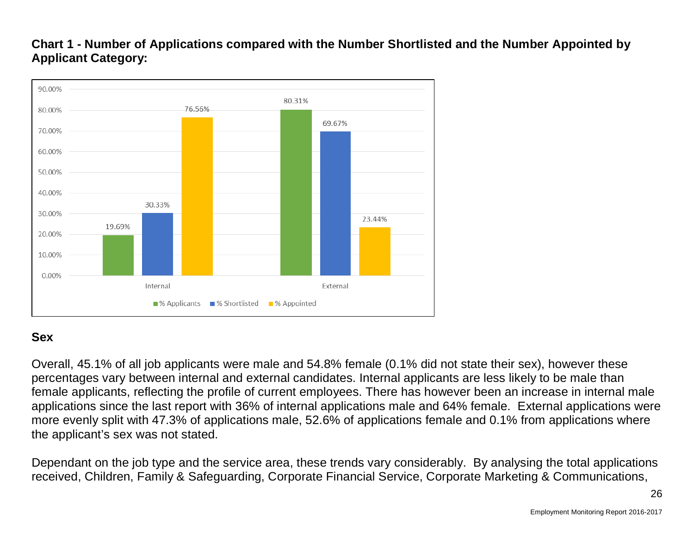## **Chart 1 - Number of Applications compared with the Number Shortlisted and the Number Appointed by Applicant Category:**



## **Sex**

Overall, 45.1% of all job applicants were male and 54.8% female (0.1% did not state their sex), however these percentages vary between internal and external candidates. Internal applicants are less likely to be male than female applicants, reflecting the profile of current employees. There has however been an increase in internal male applications since the last report with 36% of internal applications male and 64% female. External applications were more evenly split with 47.3% of applications male, 52.6% of applications female and 0.1% from applications where the applicant's sex was not stated.

Dependant on the job type and the service area, these trends vary considerably. By analysing the total applications received, Children, Family & Safeguarding, Corporate Financial Service, Corporate Marketing & Communications,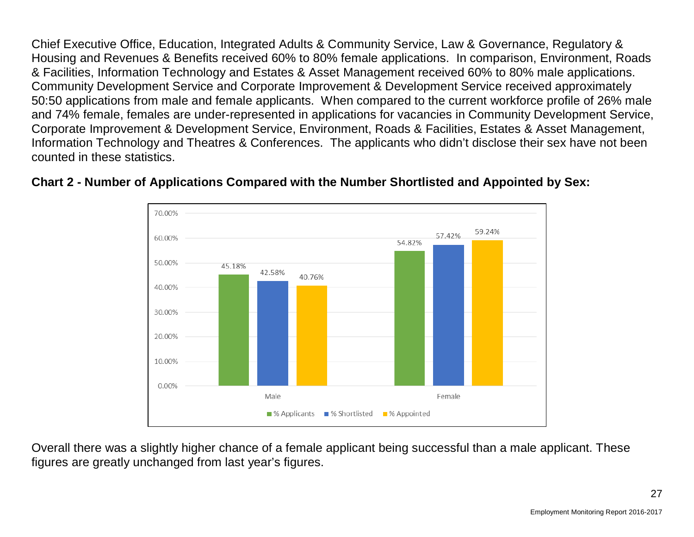Chief Executive Office, Education, Integrated Adults & Community Service, Law & Governance, Regulatory & Housing and Revenues & Benefits received 60% to 80% female applications. In comparison, Environment, Roads & Facilities, Information Technology and Estates & Asset Management received 60% to 80% male applications. Community Development Service and Corporate Improvement & Development Service received approximately 50:50 applications from male and female applicants. When compared to the current workforce profile of 26% male and 74% female, females are under-represented in applications for vacancies in Community Development Service, Corporate Improvement & Development Service, Environment, Roads & Facilities, Estates & Asset Management, Information Technology and Theatres & Conferences. The applicants who didn't disclose their sex have not been counted in these statistics.



## **Chart 2 - Number of Applications Compared with the Number Shortlisted and Appointed by Sex:**

Overall there was a slightly higher chance of a female applicant being successful than a male applicant. These figures are greatly unchanged from last year's figures.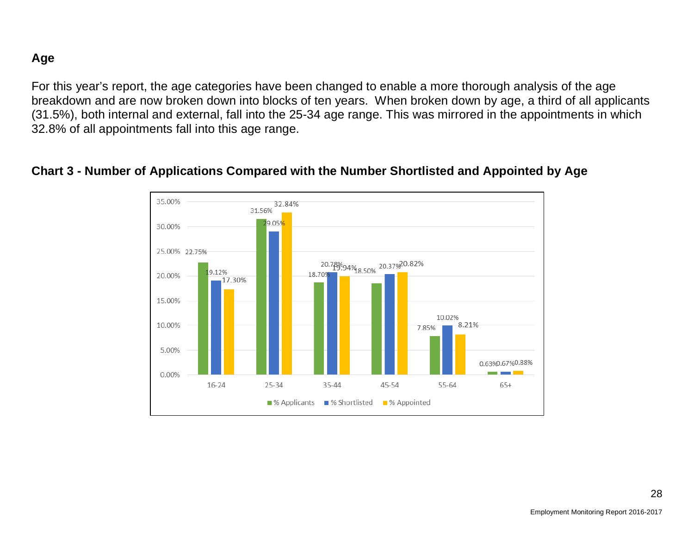### **Age**

For this year's report, the age categories have been changed to enable a more thorough analysis of the age breakdown and are now broken down into blocks of ten years. When broken down by age, a third of all applicants (31.5%), both internal and external, fall into the 25-34 age range. This was mirrored in the appointments in which 32.8% of all appointments fall into this age range.

#### **Chart 3 - Number of Applications Compared with the Number Shortlisted and Appointed by Age**

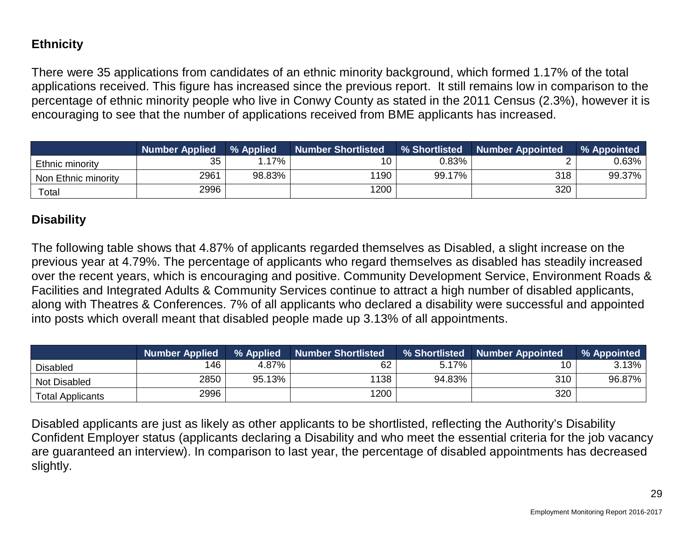# **Ethnicity**

There were 35 applications from candidates of an ethnic minority background, which formed 1.17% of the total applications received. This figure has increased since the previous report. It still remains low in comparison to the percentage of ethnic minority people who live in Conwy County as stated in the 2011 Census (2.3%), however it is encouraging to see that the number of applications received from BME applicants has increased.

|                     | <b>Number Applied</b> | % Applied | <b>Number Shortlisted</b> | <b>% Shortlisted</b> | <b>Number Appointed</b> | % Appointed |
|---------------------|-----------------------|-----------|---------------------------|----------------------|-------------------------|-------------|
| Ethnic minority     | 35                    | $.17\%$   |                           | 0.83%                |                         | 0.63%       |
| Non Ethnic minority | 2961                  | 98.83%    | 1190                      | 99.17%               | 318                     | 99.37%      |
| Total               | 2996                  |           | 1200                      |                      | 320                     |             |

## **Disability**

The following table shows that 4.87% of applicants regarded themselves as Disabled, a slight increase on the previous year at 4.79%. The percentage of applicants who regard themselves as disabled has steadily increased over the recent years, which is encouraging and positive. Community Development Service, Environment Roads & Facilities and Integrated Adults & Community Services continue to attract a high number of disabled applicants, along with Theatres & Conferences. 7% of all applicants who declared a disability were successful and appointed into posts which overall meant that disabled people made up 3.13% of all appointments.

|                         | <b>Number Applied</b> | % Applied | <b>Number Shortlisted</b> | % Shortlisted | <b>Number Appointed</b> | % Appointed |
|-------------------------|-----------------------|-----------|---------------------------|---------------|-------------------------|-------------|
| <b>Disabled</b>         | 146                   | 4.87%     | 62                        | 5.17%         | 10                      | 3.13%       |
| Not Disabled            | 2850                  | 95.13%    | 1138                      | 94.83%        | 310                     | 96.87%      |
| <b>Total Applicants</b> | 2996                  |           | 1200                      |               | 320                     |             |

Disabled applicants are just as likely as other applicants to be shortlisted, reflecting the Authority's Disability Confident Employer status (applicants declaring a Disability and who meet the essential criteria for the job vacancy are guaranteed an interview). In comparison to last year, the percentage of disabled appointments has decreased slightly.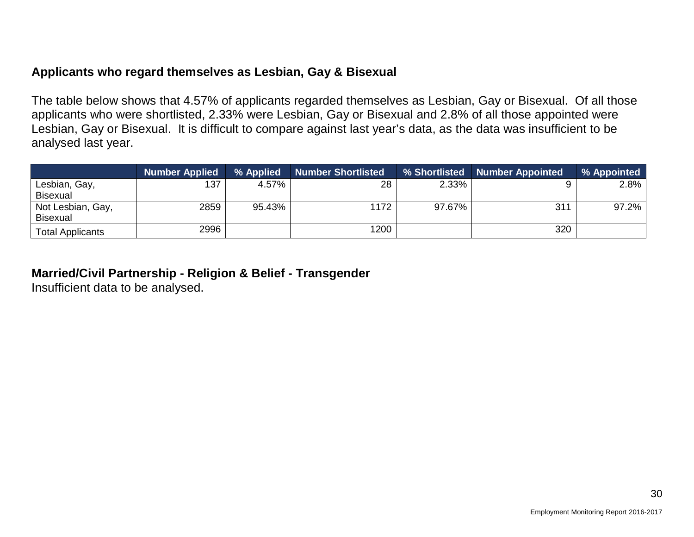### **Applicants who regard themselves as Lesbian, Gay & Bisexual**

The table below shows that 4.57% of applicants regarded themselves as Lesbian, Gay or Bisexual. Of all those applicants who were shortlisted, 2.33% were Lesbian, Gay or Bisexual and 2.8% of all those appointed were Lesbian, Gay or Bisexual. It is difficult to compare against last year's data, as the data was insufficient to be analysed last year.

|                         | <b>Number Applied</b> | % Applied | <b>Number Shortlisted</b> | % Shortlisted | Number Appointed | % Appointed |
|-------------------------|-----------------------|-----------|---------------------------|---------------|------------------|-------------|
| Lesbian, Gay,           | 137                   | 4.57%     | 28                        | 2.33%         |                  | 2.8%        |
| <b>Bisexual</b>         |                       |           |                           |               |                  |             |
| Not Lesbian, Gay,       | 2859                  | 95.43%    | 1172                      | 97.67%        | 311              | 97.2%       |
| <b>Bisexual</b>         |                       |           |                           |               |                  |             |
| <b>Total Applicants</b> | 2996                  |           | 1200                      |               | 320              |             |

#### **Married/Civil Partnership - Religion & Belief - Transgender**

Insufficient data to be analysed.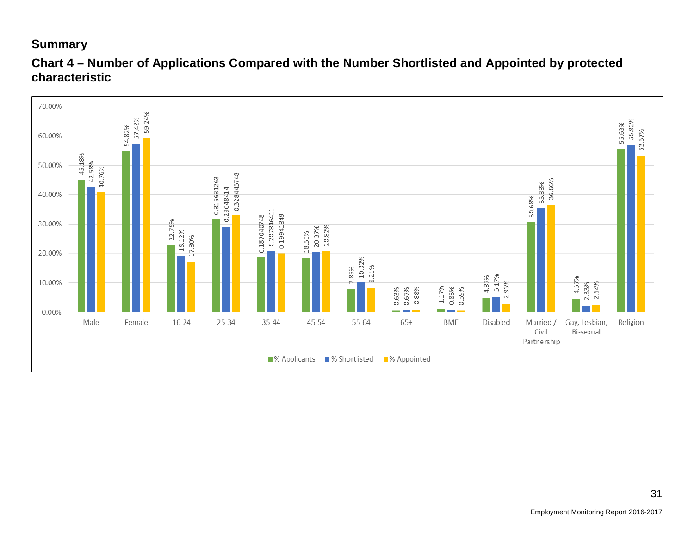## **Summary**



**Chart 4 – Number of Applications Compared with the Number Shortlisted and Appointed by protected characteristic**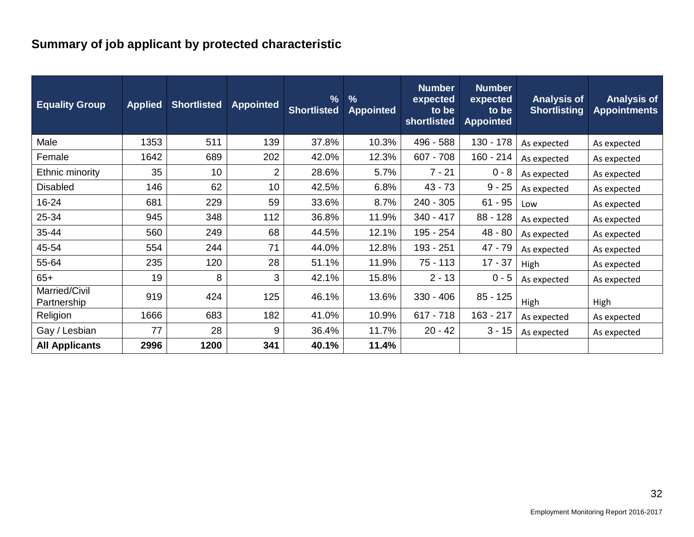# **Summary of job applicant by protected characteristic**

| <b>Equality Group</b>        | <b>Applied</b> | <b>Shortlisted</b> | <b>Appointed</b> | $\frac{9}{6}$<br><b>Shortlisted</b> | $\frac{9}{6}$<br><b>Appointed</b> | <b>Number</b><br>expected<br>to be<br>shortlisted | <b>Number</b><br>expected<br>to be<br><b>Appointed</b> | <b>Analysis of</b><br><b>Shortlisting</b> | <b>Analysis of</b><br><b>Appointments</b> |
|------------------------------|----------------|--------------------|------------------|-------------------------------------|-----------------------------------|---------------------------------------------------|--------------------------------------------------------|-------------------------------------------|-------------------------------------------|
| Male                         | 1353           | 511                | 139              | 37.8%                               | 10.3%                             | 496 - 588                                         | 130 - 178                                              | As expected                               | As expected                               |
| Female                       | 1642           | 689                | 202              | 42.0%                               | 12.3%                             | $607 - 708$                                       | $160 - 214$                                            | As expected                               | As expected                               |
| Ethnic minority              | 35             | 10                 | 2                | 28.6%                               | 5.7%                              | $7 - 21$                                          | $0 - 8$                                                | As expected                               | As expected                               |
| <b>Disabled</b>              | 146            | 62                 | 10               | 42.5%                               | 6.8%                              | $43 - 73$                                         | $9 - 25$                                               | As expected                               | As expected                               |
| 16-24                        | 681            | 229                | 59               | 33.6%                               | 8.7%                              | $240 - 305$                                       | $61 - 95$                                              | Low                                       | As expected                               |
| 25-34                        | 945            | 348                | 112              | 36.8%                               | 11.9%                             | 340 - 417                                         | 88 - 128                                               | As expected                               | As expected                               |
| 35-44                        | 560            | 249                | 68               | 44.5%                               | 12.1%                             | 195 - 254                                         | $48 - 80$                                              | As expected                               | As expected                               |
| 45-54                        | 554            | 244                | 71               | 44.0%                               | 12.8%                             | 193 - 251                                         | 47 - 79                                                | As expected                               | As expected                               |
| 55-64                        | 235            | 120                | 28               | 51.1%                               | 11.9%                             | $75 - 113$                                        | $17 - 37$                                              | High                                      | As expected                               |
| $65+$                        | 19             | 8                  | 3                | 42.1%                               | 15.8%                             | $2 - 13$                                          | $0 - 5$                                                | As expected                               | As expected                               |
| Married/Civil<br>Partnership | 919            | 424                | 125              | 46.1%                               | 13.6%                             | $330 - 406$                                       | $85 - 125$                                             | High                                      | High                                      |
| Religion                     | 1666           | 683                | 182              | 41.0%                               | 10.9%                             | $617 - 718$                                       | 163 - 217                                              | As expected                               | As expected                               |
| Gay / Lesbian                | 77             | 28                 | 9                | 36.4%                               | 11.7%                             | $20 - 42$                                         | $3 - 15$                                               | As expected                               | As expected                               |
| <b>All Applicants</b>        | 2996           | 1200               | 341              | 40.1%                               | 11.4%                             |                                                   |                                                        |                                           |                                           |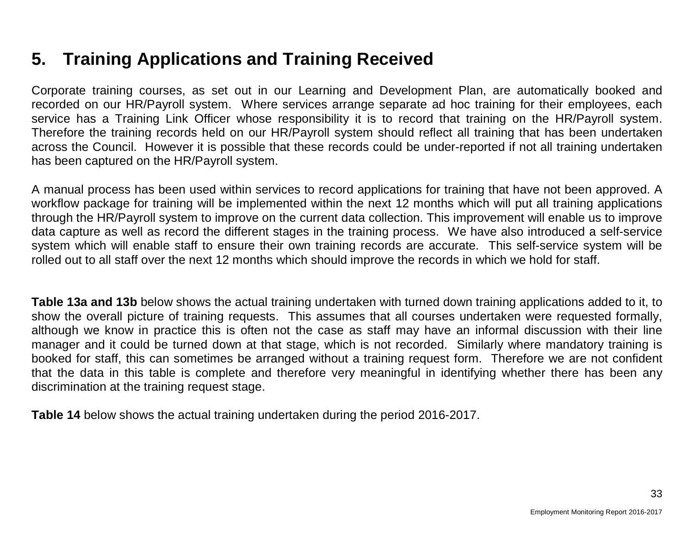# **5. Training Applications and Training Received**

Corporate training courses, as set out in our Learning and Development Plan, are automatically booked and recorded on our HR/Payroll system. Where services arrange separate ad hoc training for their employees, each service has a Training Link Officer whose responsibility it is to record that training on the HR/Payroll system. Therefore the training records held on our HR/Payroll system should reflect all training that has been undertaken across the Council. However it is possible that these records could be under-reported if not all training undertaken has been captured on the HR/Payroll system.

A manual process has been used within services to record applications for training that have not been approved. A workflow package for training will be implemented within the next 12 months which will put all training applications through the HR/Payroll system to improve on the current data collection. This improvement will enable us to improve data capture as well as record the different stages in the training process. We have also introduced a self-service system which will enable staff to ensure their own training records are accurate. This self-service system will be rolled out to all staff over the next 12 months which should improve the records in which we hold for staff.

**Table 13a and 13b** below shows the actual training undertaken with turned down training applications added to it, to show the overall picture of training requests. This assumes that all courses undertaken were requested formally, although we know in practice this is often not the case as staff may have an informal discussion with their line manager and it could be turned down at that stage, which is not recorded. Similarly where mandatory training is booked for staff, this can sometimes be arranged without a training request form. Therefore we are not confident that the data in this table is complete and therefore very meaningful in identifying whether there has been any discrimination at the training request stage.

**Table 14** below shows the actual training undertaken during the period 2016-2017.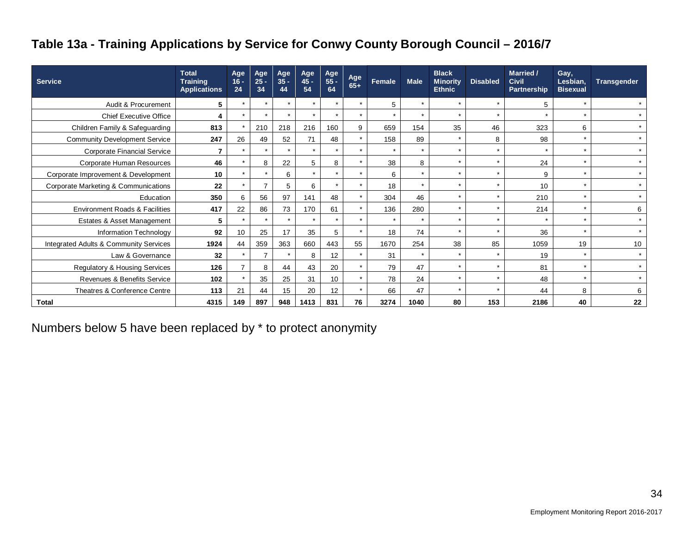# **Table 13a - Training Applications by Service for Conwy County Borough Council – 2016/7**

| <b>Service</b>                            | <b>Total</b><br><b>Training</b><br><b>Applications</b> | Age<br>$16 -$<br>24 | Age<br>$25 -$<br>34 | Age<br>$35 -$<br>44 | Age<br>$45 -$<br>54 | Age<br>$55 -$<br>64 | Age<br>$65+$ | Female               | <b>Male</b> | <b>Black</b><br><b>Minority</b><br><b>Ethnic</b> | <b>Disabled</b>      | <b>Married /</b><br><b>Civil</b><br>Partnership | Gay,<br>Lesbian,<br><b>Bisexual</b> | <b>Transgender</b> |
|-------------------------------------------|--------------------------------------------------------|---------------------|---------------------|---------------------|---------------------|---------------------|--------------|----------------------|-------------|--------------------------------------------------|----------------------|-------------------------------------------------|-------------------------------------|--------------------|
| Audit & Procurement                       | 5                                                      | $\star$             | $\star$             | $\star$             | $\star$             |                     | $\star$      | 5                    | $\star$     | $\star$                                          | $\star$              | 5                                               | $\star$                             | $\star$            |
| <b>Chief Executive Office</b>             |                                                        | $\star$             | $\star$             | $\star$             | $\star$             | $\star$             | $\star$      | $\star$              | $\star$     | $\star$                                          | $\star$              | $\star$                                         | $\star$                             | $\star$            |
| Children Family & Safeguarding            | 813                                                    |                     | 210                 | 218                 | 216                 | 160                 | 9            | 659                  | 154         | 35                                               | 46                   | 323                                             | 6                                   | $\star$            |
| <b>Community Development Service</b>      | 247                                                    | 26                  | 49                  | 52                  | 71                  | 48                  | $\star$      | 158                  | 89          |                                                  | 8                    | 98                                              | $\star$                             | $\star$            |
| <b>Corporate Financial Service</b>        |                                                        | $\star$             | $\star$             | $\star$             | $\star$             |                     | $\star$      | $\star$              | $\star$     | $\star$                                          | $\star$              | $\star$                                         | $\star$                             | $\star$            |
| Corporate Human Resources                 | 46                                                     | $\star$             | 8                   | 22                  | 5                   | 8                   | $\star$      | 38                   | 8           | $\star$                                          | $\star$              | 24                                              | $\star$                             | $\star$            |
| Corporate Improvement & Development       | 10                                                     | $\star$             | $\star$             | 6                   | $\star$             |                     | $\star$      | 6                    | $\star$     | $\star$                                          | $\star$              | 9                                               | $\star$                             | $\star$            |
| Corporate Marketing & Communications      | 22                                                     | $\star$             | $\overline{ }$      | 5                   | 6                   |                     | $\star$      | 18                   | $\star$     | $\star$                                          | $\star$              | 10                                              | $\star$                             | $\star$            |
| Education                                 | 350                                                    | 6                   | 56                  | 97                  | 141                 | 48                  | $\star$      | 304                  | 46          |                                                  | $\star$              | 210                                             | $\star$                             | $\star$            |
| <b>Environment Roads &amp; Facilities</b> | 417                                                    | 22                  | 86                  | 73                  | 170                 | 61                  | $\star$      | 136                  | 280         | $\star$                                          | $\star$              | 214                                             | $\star$                             | 6                  |
| Estates & Asset Management                | 5                                                      | $\star$             | $\star$             | $\star$             | $\star$             |                     | $\star$      | $\ddot{\phantom{1}}$ | $\star$     | $\star$                                          | $\ddot{\phantom{1}}$ | $\star$                                         | $\star$                             | $\star$            |
| Information Technology                    | 92                                                     | 10                  | 25                  | 17                  | 35                  | 5                   | $\star$      | 18                   | 74          | $\star$                                          | $\star$              | 36                                              | $\star$                             | $\star$            |
| Integrated Adults & Community Services    | 1924                                                   | 44                  | 359                 | 363                 | 660                 | 443                 | 55           | 1670                 | 254         | 38                                               | 85                   | 1059                                            | 19                                  | 10                 |
| Law & Governance                          | 32                                                     | $\star$             | $\overline{ }$      |                     | 8                   | 12                  | $\star$      | 31                   | $\star$     |                                                  |                      | 19                                              | $\star$                             | $\star$            |
| Regulatory & Housing Services             | 126                                                    |                     | 8                   | 44                  | 43                  | 20                  | $\star$      | 79                   | 47          | $\star$                                          | $\star$              | 81                                              | $\star$                             | $\star$            |
| Revenues & Benefits Service               | 102                                                    | $\star$             | 35                  | 25                  | 31                  | 10                  | $\star$      | 78                   | 24          | $\star$                                          | $\star$              | 48                                              | $\star$                             | $\star$            |
| Theatres & Conference Centre              | 113                                                    | 21                  | 44                  | 15                  | 20                  | 12                  | $\star$      | 66                   | 47          |                                                  | $\star$              | 44                                              | 8                                   | 6                  |
| <b>Total</b>                              | 4315                                                   | 149                 | 897                 | 948                 | 1413                | 831                 | 76           | 3274                 | 1040        | 80                                               | 153                  | 2186                                            | 40                                  | 22                 |

Numbers below 5 have been replaced by \* to protect anonymity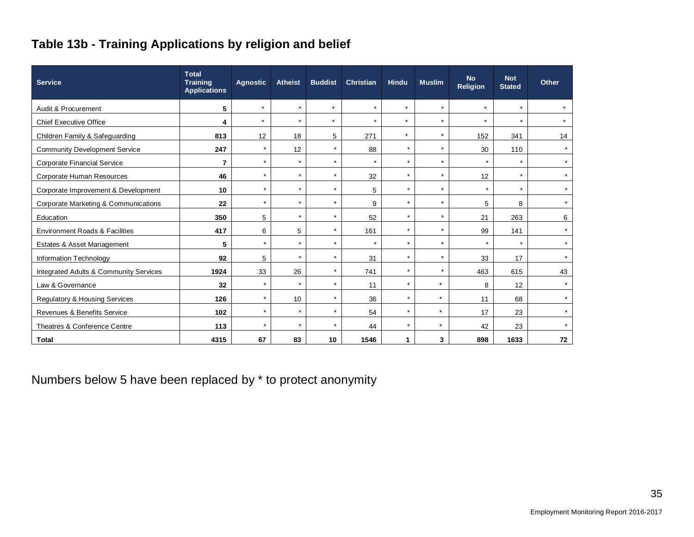# **Table 13b - Training Applications by religion and belief**

| <b>Service</b>                                    | <b>Total</b><br><b>Training</b><br><b>Applications</b> | <b>Agnostic</b> | <b>Atheist</b> | <b>Buddist</b> | <b>Christian</b> | <b>Hindu</b> | <b>Muslim</b> | <b>No</b><br><b>Religion</b> | <b>Not</b><br><b>Stated</b> | Other   |
|---------------------------------------------------|--------------------------------------------------------|-----------------|----------------|----------------|------------------|--------------|---------------|------------------------------|-----------------------------|---------|
| Audit & Procurement                               | 5                                                      | $\star$         | $\star$        | $\star$        | $\star$          | $\star$      | $\star$       | $\star$                      | $\star$                     |         |
| <b>Chief Executive Office</b>                     | 4                                                      | $\star$         | $\star$        | $\star$        | $\star$          | $\star$      | $\star$       | $\star$                      | $\star$                     | $\star$ |
| Children Family & Safeguarding                    | 813                                                    | 12              | 18             | 5              | 271              | $\star$      | $\star$       | 152                          | 341                         | 14      |
| <b>Community Development Service</b>              | 247                                                    | $\star$         | 12             | $\star$        | 88               | $\star$      | $\star$       | 30                           | 110                         | $\star$ |
| <b>Corporate Financial Service</b>                | 7                                                      | $\star$         | $\star$        | $\star$        | $\star$          | $\star$      | $\star$       | $\star$                      | $\star$                     | $\star$ |
| Corporate Human Resources                         | 46                                                     | $\star$         | $\star$        | $\star$        | 32               | $\star$      | $\star$       | 12                           | $\star$                     | $\star$ |
| Corporate Improvement & Development               | 10                                                     | $\star$         | $\star$        | $\star$        | 5                | $\star$      | $\star$       | $\star$                      | $\star$                     | $\star$ |
| <b>Corporate Marketing &amp; Communications</b>   | 22                                                     | $\star$         | $\star$        | $\star$        | 9                | $\star$      | $\star$       | 5                            | 8                           | $\star$ |
| Education                                         | 350                                                    | 5               | $\star$        | $\star$        | 52               | $\star$      | $\star$       | 21                           | 263                         | 6       |
| <b>Environment Roads &amp; Facilities</b>         | 417                                                    | 6               | 5              | $\star$        | 161              | $\star$      | $\star$       | 99                           | 141                         | $\star$ |
| Estates & Asset Management                        | 5                                                      | $\star$         | $\star$        | $\star$        | $\star$          | $\star$      | $\star$       | $\star$                      | $\star$                     | $\star$ |
| Information Technology                            | 92                                                     | 5               | $\star$        | $\star$        | 31               | $\star$      | $\star$       | 33                           | 17                          | $\star$ |
| <b>Integrated Adults &amp; Community Services</b> | 1924                                                   | 33              | 26             | $\star$        | 741              | $\star$      | $\star$       | 463                          | 615                         | 43      |
| Law & Governance                                  | 32                                                     | $\star$         | $\star$        | $\star$        | 11               | $\star$      | $\star$       | 8                            | 12                          | $\star$ |
| <b>Regulatory &amp; Housing Services</b>          | 126                                                    | $\star$         | 10             | $\star$        | 36               | $\star$      | $\star$       | 11                           | 68                          | $\star$ |
| Revenues & Benefits Service                       | 102                                                    | $\star$         | $\star$        | $\star$        | 54               | $\star$      | $\star$       | 17                           | 23                          | $\star$ |
| Theatres & Conference Centre                      | 113                                                    | $\star$         | $\star$        | $\star$        | 44               | $\star$      | $\star$       | 42                           | 23                          | $\star$ |
| <b>Total</b>                                      | 4315                                                   | 67              | 83             | 10             | 1546             | 1.           | 3             | 898                          | 1633                        | 72      |

Numbers below 5 have been replaced by \* to protect anonymity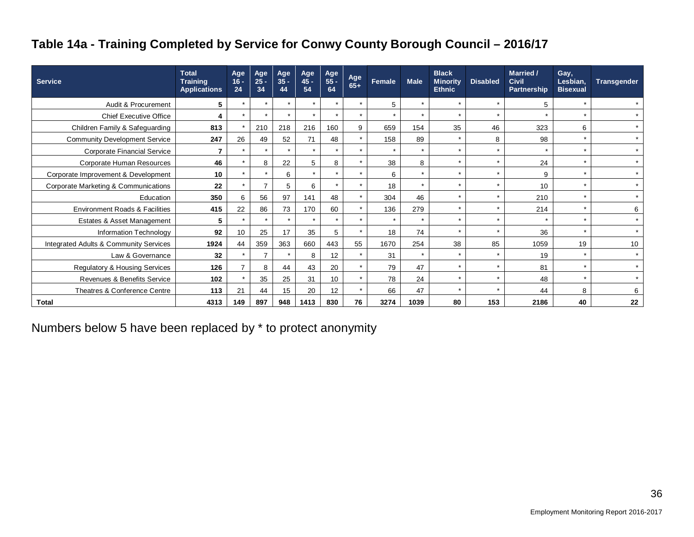# **Table 14a - Training Completed by Service for Conwy County Borough Council – 2016/17**

| <b>Service</b>                            | <b>Total</b><br><b>Training</b><br><b>Applications</b> | Age<br>$16 -$<br>24 | Age<br>$25 -$<br>34  | Age<br>$35 -$<br>44 | Age<br>$45 -$<br>54 | Age<br>$55 -$<br>64 | Age<br>$65+$ | Female  | <b>Male</b> | <b>Black</b><br><b>Minority</b><br><b>Ethnic</b> | <b>Disabled</b> | Married /<br><b>Civil</b><br>Partnership | Gay,<br>Lesbian,<br><b>Bisexual</b> | <b>Transgender</b> |
|-------------------------------------------|--------------------------------------------------------|---------------------|----------------------|---------------------|---------------------|---------------------|--------------|---------|-------------|--------------------------------------------------|-----------------|------------------------------------------|-------------------------------------|--------------------|
| Audit & Procurement                       | 5                                                      |                     | $\star$              | $\star$             | $\star$             | $\star$             | $\star$      | 5       | $\star$     | $\star$                                          |                 | 5                                        |                                     |                    |
| <b>Chief Executive Office</b>             | 4                                                      | $\star$             | $\star$              | $\star$             | $\star$             | $\star$             | $\star$      | $\star$ | $\star$     | $\star$                                          |                 |                                          |                                     |                    |
| Children Family & Safeguarding            | 813                                                    |                     | 210                  | 218                 | 216                 | 160                 | 9            | 659     | 154         | 35                                               | 46              | 323                                      | 6                                   | $\star$            |
| <b>Community Development Service</b>      | 247                                                    | 26                  | 49                   | 52                  | 71                  | 48                  | $\star$      | 158     | 89          | $\star$                                          | 8               | 98                                       |                                     | $\star$            |
| <b>Corporate Financial Service</b>        | 7                                                      | $\star$             | $\ddot{\phantom{1}}$ | $\star$             | $\star$             | $\star$             | $\star$      | $\star$ | $\star$     | $\star$                                          | $\star$         | $\star$                                  | $\star$                             | $\star$            |
| Corporate Human Resources                 | 46                                                     |                     | 8                    | 22                  | 5                   | 8                   | $\star$      | 38      | 8           | $\star$                                          |                 | 24                                       | $\star$                             | $\star$            |
| Corporate Improvement & Development       | 10                                                     | ÷                   | $\star$              | 6                   | $\star$             | $\star$             | $\star$      | 6       | $\star$     | $\star$                                          |                 | 9                                        | $\star$                             | $\star$            |
| Corporate Marketing & Communications      | 22                                                     |                     | 7                    | 5                   | 6                   | $\star$             | $\star$      | 18      | $\star$     | $\star$                                          |                 | 10                                       | $\star$                             | $\star$            |
| Education                                 | 350                                                    | 6                   | 56                   | 97                  | 141                 | 48                  | $\star$      | 304     | 46          | $\star$                                          |                 | 210                                      | $\star$                             | $\star$            |
| <b>Environment Roads &amp; Facilities</b> | 415                                                    | 22                  | 86                   | 73                  | 170                 | 60                  | $\star$      | 136     | 279         | $\star$                                          |                 | 214                                      | $\star$                             | 6                  |
| Estates & Asset Management                | 5                                                      |                     |                      | $\star$             | $\star$             | $\star$             | $\star$      | $\star$ | $\star$     | $\star$                                          |                 |                                          |                                     | $\star$            |
| Information Technology                    | 92                                                     | 10                  | 25                   | 17                  | 35                  | 5                   | $\star$      | 18      | 74          | $\star$                                          |                 | 36                                       | $\star$                             | $\star$            |
| Integrated Adults & Community Services    | 1924                                                   | 44                  | 359                  | 363                 | 660                 | 443                 | 55           | 1670    | 254         | 38                                               | 85              | 1059                                     | 19                                  | 10                 |
| Law & Governance                          | 32                                                     | $\star$             | 7                    | $\star$             | 8                   | 12                  | $\star$      | 31      | $\star$     | $\star$                                          |                 | 19                                       | $\star$                             | $\star$            |
| <b>Regulatory &amp; Housing Services</b>  | 126                                                    |                     | 8                    | 44                  | 43                  | 20                  | $\star$      | 79      | 47          | $\star$                                          |                 | 81                                       | $\star$                             |                    |
| <b>Revenues &amp; Benefits Service</b>    | 102                                                    |                     | 35                   | 25                  | 31                  | 10                  | $\star$      | 78      | 24          | $\star$                                          |                 | 48                                       | $\star$                             | $\star$            |
| Theatres & Conference Centre              | 113                                                    | 21                  | 44                   | 15                  | 20                  | 12                  | $\star$      | 66      | 47          | $\star$                                          |                 | 44                                       | 8                                   | 6                  |
| <b>Total</b>                              | 4313                                                   | 149                 | 897                  | 948                 | 1413                | 830                 | 76           | 3274    | 1039        | 80                                               | 153             | 2186                                     | 40                                  | 22                 |

Numbers below 5 have been replaced by \* to protect anonymity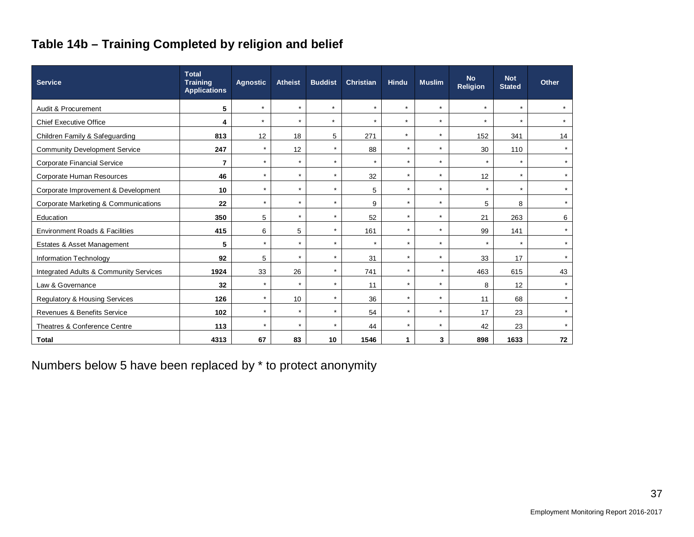# **Table 14b – Training Completed by religion and belief**

| <b>Service</b>                            | <b>Total</b><br><b>Training</b><br><b>Applications</b> | <b>Agnostic</b> | <b>Atheist</b> | <b>Buddist</b> | <b>Christian</b> | <b>Hindu</b> | <b>Muslim</b> | <b>No</b><br><b>Religion</b> | <b>Not</b><br><b>Stated</b> | Other   |
|-------------------------------------------|--------------------------------------------------------|-----------------|----------------|----------------|------------------|--------------|---------------|------------------------------|-----------------------------|---------|
| Audit & Procurement                       | 5                                                      | $\star$         | $\star$        | $\star$        | $\star$          | $\star$      | $\star$       | $\star$                      | $\star$                     |         |
| <b>Chief Executive Office</b>             | 4                                                      | $\star$         | $\star$        | $\star$        | $\star$          | $\star$      | $\star$       | $\star$                      | $\star$                     | $\star$ |
| Children Family & Safeguarding            | 813                                                    | 12              | 18             | 5              | 271              | $\star$      | $\star$       | 152                          | 341                         | 14      |
| <b>Community Development Service</b>      | 247                                                    | $\star$         | 12             | $\star$        | 88               | $\star$      | $\star$       | 30                           | 110                         | $\star$ |
| <b>Corporate Financial Service</b>        | 7                                                      | $\star$         | $\star$        | $\star$        | $\star$          | $\star$      | $\star$       | $\star$                      | $\star$                     | $\star$ |
| Corporate Human Resources                 | 46                                                     | $\star$         | $\star$        | $\star$        | 32               | $\star$      | $\star$       | 12                           | $\star$                     | $\star$ |
| Corporate Improvement & Development       | 10                                                     | $\star$         | $\star$        | $\star$        | 5                | $\star$      | $\star$       | $\star$                      | $\star$                     | $\star$ |
| Corporate Marketing & Communications      | 22                                                     | $\star$         | $\star$        | $\star$        | 9                | $\star$      | $\star$       | 5                            | 8                           | $\star$ |
| Education                                 | 350                                                    | 5               | $\star$        | $\star$        | 52               | $\star$      | $\star$       | 21                           | 263                         | 6       |
| <b>Environment Roads &amp; Facilities</b> | 415                                                    | 6               | 5              | $\star$        | 161              | $\star$      | $\star$       | 99                           | 141                         | $\star$ |
| Estates & Asset Management                | 5                                                      | $\star$         | $\star$        | $\star$        | $\star$          | $\star$      | $\star$       | $\star$                      | $\star$                     | $\star$ |
| Information Technology                    | 92                                                     | 5               | $\star$        | $\star$        | 31               | $\star$      | $\star$       | 33                           | 17                          | $\star$ |
| Integrated Adults & Community Services    | 1924                                                   | 33              | 26             | $\star$        | 741              | $\star$      | $\star$       | 463                          | 615                         | 43      |
| Law & Governance                          | 32                                                     | $\star$         | $\star$        | $\star$        | 11               | $\star$      | $\star$       | 8                            | 12                          | $\star$ |
| <b>Regulatory &amp; Housing Services</b>  | 126                                                    | $\star$         | 10             | $\star$        | 36               | $\star$      | $\star$       | 11                           | 68                          | $\star$ |
| Revenues & Benefits Service               | 102                                                    | $\star$         | $\star$        | $\star$        | 54               | $\star$      | $\star$       | 17                           | 23                          | $\star$ |
| Theatres & Conference Centre              | 113                                                    | $\star$         | $\star$        | $\star$        | 44               | $\star$      | $\star$       | 42                           | 23                          | $\star$ |
| <b>Total</b>                              | 4313                                                   | 67              | 83             | 10             | 1546             | 1.           | 3             | 898                          | 1633                        | 72      |

Numbers below 5 have been replaced by \* to protect anonymity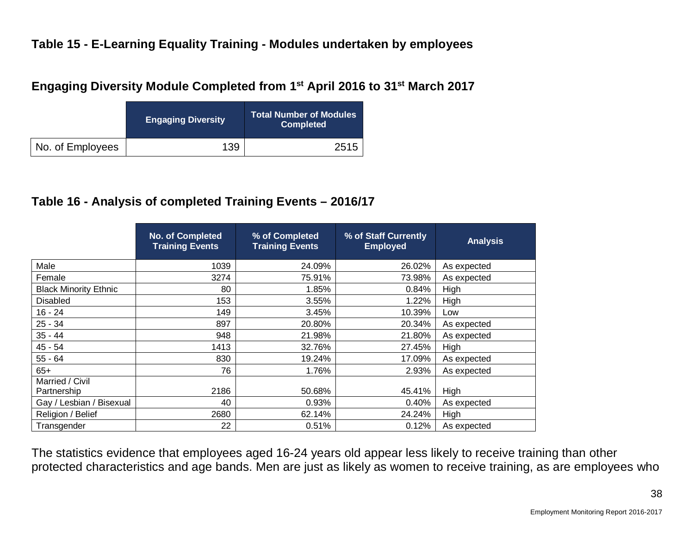## **Table 15 - E-Learning Equality Training - Modules undertaken by employees**

#### **Engaging Diversity Module Completed from 1st April 2016 to 31st March 2017**

|                  | <b>Engaging Diversity</b> | <b>Total Number of Modules</b><br><b>Completed</b> |
|------------------|---------------------------|----------------------------------------------------|
| No. of Employees | 139                       | 2515                                               |

#### **Table 16 - Analysis of completed Training Events – 2016/17**

|                              | No. of Completed<br><b>Training Events</b> | % of Completed<br><b>Training Events</b> | % of Staff Currently<br><b>Employed</b> | <b>Analysis</b> |
|------------------------------|--------------------------------------------|------------------------------------------|-----------------------------------------|-----------------|
| Male                         | 1039                                       | 24.09%                                   | 26.02%                                  | As expected     |
| Female                       | 3274                                       | 75.91%                                   | 73.98%                                  | As expected     |
| <b>Black Minority Ethnic</b> | 80                                         | 1.85%                                    | 0.84%                                   | High            |
| <b>Disabled</b>              | 153                                        | 3.55%                                    | 1.22%                                   | High            |
| $16 - 24$                    | 149                                        | 3.45%                                    | 10.39%                                  | Low             |
| $25 - 34$                    | 897                                        | 20.80%                                   | 20.34%                                  | As expected     |
| $35 - 44$                    | 948                                        | 21.98%                                   | 21.80%                                  | As expected     |
| $45 - 54$                    | 1413                                       | 32.76%                                   | 27.45%                                  | High            |
| $55 - 64$                    | 830                                        | 19.24%                                   | 17.09%                                  | As expected     |
| $65+$                        | 76                                         | 1.76%                                    | 2.93%                                   | As expected     |
| Married / Civil              |                                            |                                          |                                         |                 |
| Partnership                  | 2186                                       | 50.68%                                   | 45.41%                                  | High            |
| Gay / Lesbian / Bisexual     | 40                                         | 0.93%                                    | 0.40%                                   | As expected     |
| Religion / Belief            | 2680                                       | 62.14%                                   | 24.24%                                  | High            |
| Transgender                  | 22                                         | 0.51%                                    | 0.12%                                   | As expected     |

The statistics evidence that employees aged 16-24 years old appear less likely to receive training than other protected characteristics and age bands. Men are just as likely as women to receive training, as are employees who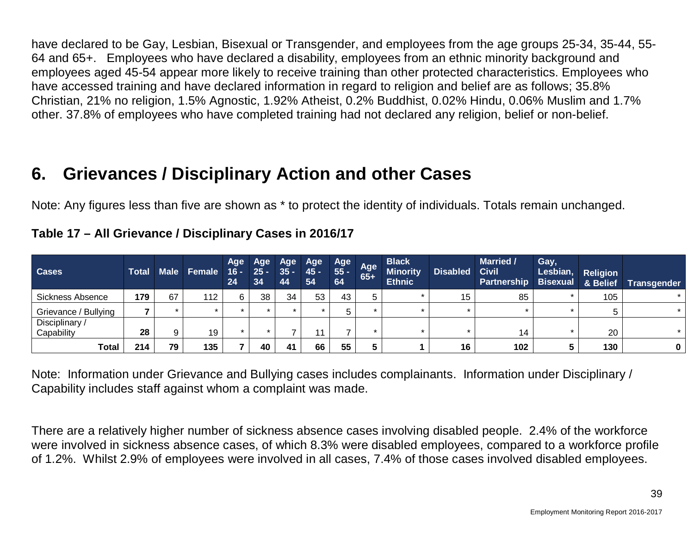have declared to be Gay, Lesbian, Bisexual or Transgender, and employees from the age groups 25-34, 35-44, 55- 64 and 65+. Employees who have declared a disability, employees from an ethnic minority background and employees aged 45-54 appear more likely to receive training than other protected characteristics. Employees who have accessed training and have declared information in regard to religion and belief are as follows; 35.8% Christian, 21% no religion, 1.5% Agnostic, 1.92% Atheist, 0.2% Buddhist, 0.02% Hindu, 0.06% Muslim and 1.7% other. 37.8% of employees who have completed training had not declared any religion, belief or non-belief.

# **6. Grievances / Disciplinary Action and other Cases**

Note: Any figures less than five are shown as \* to protect the identity of individuals. Totals remain unchanged.

| <b>Cases</b>                 | <b>Total</b> | <b>Male</b> | Female | Age<br>$\overline{16}$ -<br>24 | Age<br>$25 -$<br>34 | Age<br>$35 -$<br>44 | Age<br>45 -<br>54 | Age<br>55 -<br>64 | Age<br>$65+$ | <b>Black</b><br><b>Minority</b><br><b>Ethnic</b> | <b>Disabled</b> | <b>Married /</b><br><b>Civil</b><br><b>Partnership Bisexual</b> | Gay,<br>Lesbian, | <b>Religion</b><br>& Belief | <b>Transgender</b> |
|------------------------------|--------------|-------------|--------|--------------------------------|---------------------|---------------------|-------------------|-------------------|--------------|--------------------------------------------------|-----------------|-----------------------------------------------------------------|------------------|-----------------------------|--------------------|
| Sickness Absence             | 179          | 67          | 112    | 6                              | 38                  | 34                  | 53                | 43                |              |                                                  | 15              | 85                                                              |                  | 105                         |                    |
| Grievance / Bullying         |              |             |        |                                |                     |                     |                   |                   |              |                                                  |                 |                                                                 |                  |                             |                    |
| Disciplinary /<br>Capability | 28           | 9           | 19     |                                |                     |                     |                   |                   |              |                                                  |                 | 14                                                              |                  | 20                          |                    |
| Total                        | 214          | 79          | 135    |                                | 40                  | 41                  | 66                | 55                |              |                                                  | 16              | 102                                                             |                  | 130                         |                    |

**Table 17 – All Grievance / Disciplinary Cases in 2016/17**

Note: Information under Grievance and Bullying cases includes complainants. Information under Disciplinary / Capability includes staff against whom a complaint was made.

There are a relatively higher number of sickness absence cases involving disabled people. 2.4% of the workforce were involved in sickness absence cases, of which 8.3% were disabled employees, compared to a workforce profile of 1.2%. Whilst 2.9% of employees were involved in all cases, 7.4% of those cases involved disabled employees.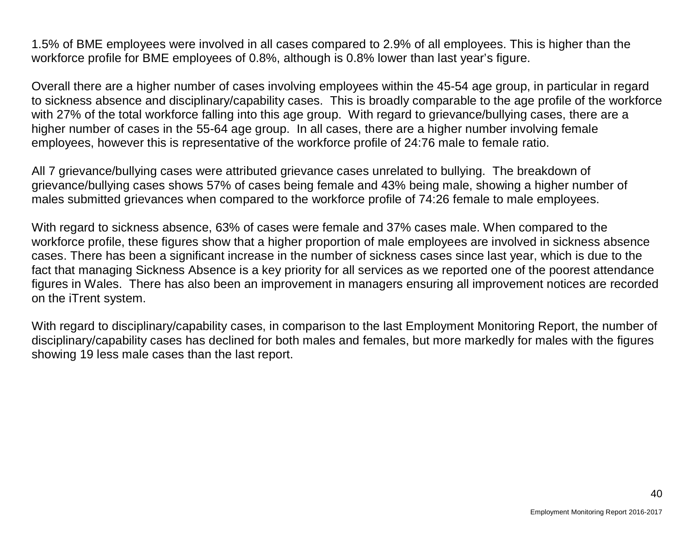1.5% of BME employees were involved in all cases compared to 2.9% of all employees. This is higher than the workforce profile for BME employees of 0.8%, although is 0.8% lower than last year's figure.

Overall there are a higher number of cases involving employees within the 45-54 age group, in particular in regard to sickness absence and disciplinary/capability cases. This is broadly comparable to the age profile of the workforce with 27% of the total workforce falling into this age group. With regard to grievance/bullying cases, there are a higher number of cases in the 55-64 age group. In all cases, there are a higher number involving female employees, however this is representative of the workforce profile of 24:76 male to female ratio.

All 7 grievance/bullying cases were attributed grievance cases unrelated to bullying. The breakdown of grievance/bullying cases shows 57% of cases being female and 43% being male, showing a higher number of males submitted grievances when compared to the workforce profile of 74:26 female to male employees.

With regard to sickness absence, 63% of cases were female and 37% cases male. When compared to the workforce profile, these figures show that a higher proportion of male employees are involved in sickness absence cases. There has been a significant increase in the number of sickness cases since last year, which is due to the fact that managing Sickness Absence is a key priority for all services as we reported one of the poorest attendance figures in Wales. There has also been an improvement in managers ensuring all improvement notices are recorded on the iTrent system.

With regard to disciplinary/capability cases, in comparison to the last Employment Monitoring Report, the number of disciplinary/capability cases has declined for both males and females, but more markedly for males with the figures showing 19 less male cases than the last report.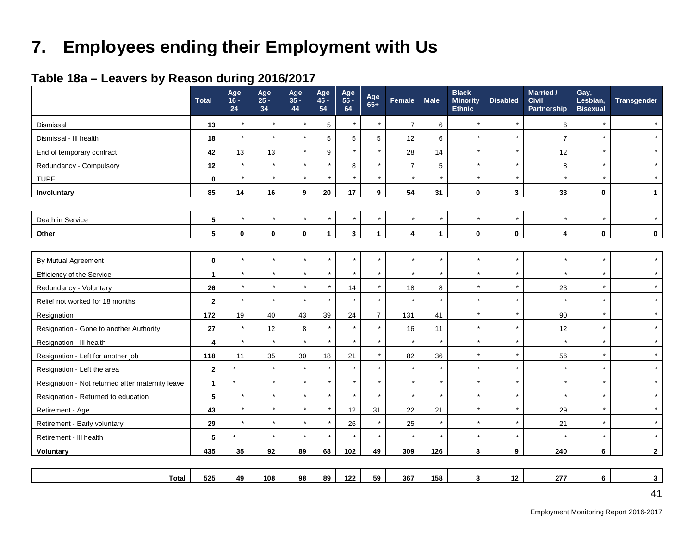# **7. Employees ending their Employment with Us**

## **Table 18a – Leavers by Reason during 2016/2017**

|                                                  | <b>Total</b>    | Age<br>$16 -$<br>24 | Age<br>$25 -$<br>34 | Age<br>$35 -$<br>44 | Age<br>$45 -$<br>54 | Age<br>55 -<br>64 | Age<br>$65+$   | Female         | <b>Male</b>  | <b>Black</b><br><b>Minority</b><br><b>Ethnic</b> | <b>Disabled</b> | Married /<br><b>Civil</b><br>Partnership | Gay,<br>Lesbian,<br><b>Bisexual</b> | Transgender  |
|--------------------------------------------------|-----------------|---------------------|---------------------|---------------------|---------------------|-------------------|----------------|----------------|--------------|--------------------------------------------------|-----------------|------------------------------------------|-------------------------------------|--------------|
| Dismissal                                        | 13              | $\star$             | $\star$             | $\star$             | 5                   | $\star$           | $\star$        | $\overline{7}$ | 6            | $\star$                                          | $\star$         | 6                                        | $\star$                             | $\star$      |
| Dismissal - Ill health                           | 18              | $\star$             | $\star$             | $\star$             | 5                   | 5                 | 5              | 12             | 6            | $\star$                                          | $\star$         | $\overline{7}$                           |                                     |              |
| End of temporary contract                        | 42              | 13                  | 13                  | $\star$             | 9                   | $\star$           | $\star$        | 28             | 14           | $\star$                                          | $\star$         | 12                                       | $\star$                             |              |
| Redundancy - Compulsory                          | 12              | $\star$             | $\star$             | $\star$             | $\star$             | 8                 | $\star$        | $\overline{7}$ | 5            | $\star$                                          | $\star$         | 8                                        | $\star$                             |              |
| <b>TUPE</b>                                      | $\mathbf{0}$    | $\star$             | $\star$             | $\star$             | $\star$             | $\star$           | $\star$        | $\star$        | $\star$      | $\star$                                          | $\star$         | $\star$                                  | $\star$                             | $\star$      |
| Involuntary                                      | 85              | 14                  | 16                  | 9                   | 20                  | 17                | 9              | 54             | 31           | $\bf{0}$                                         | 3               | 33                                       | $\mathbf 0$                         | 1            |
|                                                  |                 |                     |                     |                     |                     |                   |                |                |              |                                                  |                 |                                          |                                     |              |
| Death in Service                                 | $\sqrt{5}$      | $\star$             | $\star$             | $\star$             | $\star$             | $\star$           | $\star$        | $\star$        | $\star$      | $\star$                                          | $\star$         | $\star$                                  |                                     |              |
| Other                                            | $5\phantom{.0}$ | $\mathbf 0$         | $\mathbf 0$         | $\pmb{0}$           | $\mathbf{1}$        | 3                 | $\mathbf{1}$   | 4              | $\mathbf{1}$ | $\bf{0}$                                         | $\bf{0}$        | 4                                        | $\bf{0}$                            | $\mathbf 0$  |
|                                                  |                 |                     |                     |                     |                     |                   |                |                |              |                                                  |                 |                                          |                                     |              |
| By Mutual Agreement                              | $\mathbf 0$     | $\star$             | $\star$             | $^\star$            | $\star$             | $\star$           | $\star$        | $\star$        | $\star$      | $\star$                                          | $\star$         | $\star$                                  | $\star$                             |              |
| Efficiency of the Service                        | $\mathbf{1}$    | $\star$             | $\star$             | $\star$             | $\star$             | $\star$           | $\star$        | $\star$        | $\star$      | $\star$                                          | $\star$         | $\star$                                  | $\star$                             |              |
| Redundancy - Voluntary                           | 26              | $\star$             | $\star$             | $\star$             | $\star$             | 14                | $\star$        | 18             | 8            | $\star$                                          | $\star$         | 23                                       | $\star$                             |              |
| Relief not worked for 18 months                  | $\overline{2}$  | $\star$             | $\star$             | $\star$             | $\star$             | $\star$           | $\star$        | $\star$        | $\star$      | $\star$                                          | $\star$         | $\star$                                  | $\star$                             |              |
| Resignation                                      | 172             | 19                  | 40                  | 43                  | 39                  | 24                | $\overline{7}$ | 131            | 41           | $\star$                                          | $\star$         | 90                                       | $\star$                             |              |
| Resignation - Gone to another Authority          | 27              | $\star$             | 12                  | 8                   | $\star$             | $\star$           | $\star$        | 16             | 11           | $\star$                                          | $\star$         | 12                                       | $\star$                             |              |
| Resignation - III health                         | 4               |                     | $\star$             | $\star$             | $\star$             | $\star$           |                | $\star$        | $\star$      |                                                  | $\star$         | $\star$                                  |                                     |              |
| Resignation - Left for another job               | 118             | 11                  | 35                  | $30\,$              | 18                  | 21                |                | 82             | 36           | $\star$                                          | $\star$         | 56                                       |                                     |              |
| Resignation - Left the area                      | $\overline{2}$  | $\star$             | $\star$             | $\star$             | $\star$             | $\star$           |                | $\star$        | $\star$      | $\star$                                          | $\star$         | $\star$                                  |                                     |              |
| Resignation - Not returned after maternity leave | $\mathbf{1}$    | $\star$             | $\star$             | $\star$             | $\star$             | $\star$           |                | $\star$        | $\star$      | $\star$                                          | $\star$         | $\star$                                  |                                     |              |
| Resignation - Returned to education              | $\sqrt{5}$      | $\star$             | $\star$             | $\star$             | $\star$             | $\star$           | $\star$        | $\star$        | $\star$      | $\star$                                          | $\star$         | $\star$                                  | $\star$                             |              |
| Retirement - Age                                 | 43              | $\star$             | $\star$             | $\star$             | $\star$             | 12                | 31             | 22             | 21           | $\star$                                          | $^\star$        | 29                                       | $\star$                             |              |
| Retirement - Early voluntary                     | 29              | $\star$             | $\star$             | $\star$             | $\star$             | 26                | $\star$        | 25             | $\star$      | $\star$                                          | $\star$         | 21                                       | $\star$                             | $\star$      |
| Retirement - III health                          | 5               | $\star$             | $\star$             | $\star$             | $\star$             | $\star$           | $\star$        | $\star$        | $\star$      | $\star$                                          | $\star$         | $\star$                                  | $\star$                             |              |
| Voluntary                                        | 435             | 35                  | 92                  | 89                  | 68                  | 102               | 49             | 309            | 126          | 3                                                | 9               | 240                                      | 6                                   | $\mathbf{2}$ |
|                                                  |                 |                     |                     |                     |                     |                   |                |                |              |                                                  |                 |                                          |                                     |              |
| <b>Total</b>                                     | 525             | 49                  | 108                 | 98                  | 89                  | 122               | 59             | 367            | 158          | $\mathbf{3}$                                     | 12              | 277                                      | 6                                   | 3            |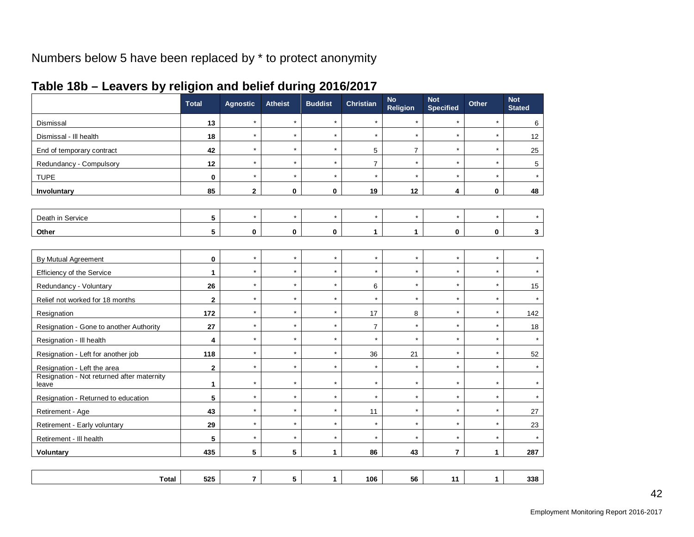# Numbers below 5 have been replaced by \* to protect anonymity

|                                                     | <b>Total</b> | <b>Agnostic</b> | <b>Atheist</b> | <b>Buddist</b> | <b>Christian</b> | <b>No</b><br>Religion | <b>Not</b><br><b>Specified</b> | Other        | <b>Not</b><br><b>Stated</b> |
|-----------------------------------------------------|--------------|-----------------|----------------|----------------|------------------|-----------------------|--------------------------------|--------------|-----------------------------|
| Dismissal                                           | 13           | $\star$         | $\star$        | $\star$        | $\star$          | $\star$               | $\star$                        | $\star$      | 6                           |
| Dismissal - III health                              | 18           | $\star$         | $\star$        | $\star$        | $\star$          | $\star$               | $\star$                        | $\star$      | 12                          |
| End of temporary contract                           | 42           | $\star$         | $\star$        | $\star$        | 5                | $\overline{7}$        | $\star$                        | $\star$      | 25                          |
| Redundancy - Compulsory                             | 12           | $\star$         | $\star$        | $\star$        | $\overline{7}$   | $\star$               | $\star$                        | $\star$      | 5                           |
| <b>TUPE</b>                                         | $\pmb{0}$    | $\star$         | $\star$        | $\star$        | $\star$          | $\star$               | $\star$                        | $\star$      |                             |
| Involuntary                                         | 85           | $\mathbf{2}$    | $\mathbf 0$    | 0              | 19               | 12                    | 4                              | 0            | 48                          |
|                                                     |              |                 |                |                |                  |                       |                                |              |                             |
| Death in Service                                    | 5            | $\star$         | $\star$        | $\star$        | $\star$          | $\star$               | $\star$                        | $\star$      |                             |
| Other                                               | 5            | $\mathbf{0}$    | $\mathbf 0$    | $\mathbf{0}$   | $\mathbf{1}$     | $\mathbf{1}$          | 0                              | 0            | 3                           |
|                                                     |              |                 |                |                |                  |                       |                                |              |                             |
| By Mutual Agreement                                 | 0            | $\star$         | $\star$        | $\star$        | $\star$          | $\star$               | $\star$                        | $\star$      |                             |
| Efficiency of the Service                           | 1            | $\star$         | $\star$        | $\star$        | $\star$          | $\star$               | $\star$                        | $\star$      |                             |
| Redundancy - Voluntary                              | 26           | $\star$         | $\star$        | $\star$        | 6                | $\star$               | $\star$                        | $\star$      | 15                          |
| Relief not worked for 18 months                     | $\mathbf 2$  | $\star$         | $\star$        | $\star$        | $\star$          | $\star$               | $\star$                        | $\star$      | $\star$                     |
| Resignation                                         | 172          | $\star$         | $\star$        | $\star$        | 17               | 8                     | $\star$                        | $\star$      | 142                         |
| Resignation - Gone to another Authority             | 27           | $\star$         | $\star$        | $\star$        | $\overline{7}$   | $\star$               | $\star$                        | $\star$      | 18                          |
| Resignation - III health                            | 4            | $\star$         | $\star$        | $\star$        | $\star$          | $\star$               | $\star$                        | $\star$      |                             |
| Resignation - Left for another job                  | 118          | $\star$         | $\star$        | $\star$        | 36               | 21                    | $\star$                        | $\star$      | 52                          |
| Resignation - Left the area                         | $\mathbf 2$  | $\star$         | $\star$        | $\star$        | $\star$          | $\star$               | $\star$                        | $\star$      |                             |
| Resignation - Not returned after maternity<br>leave | 1            | $\star$         | $\star$        | $\star$        | $\star$          | $\star$               | $\star$                        | $\star$      |                             |
| Resignation - Returned to education                 | 5            | $\star$         | $\star$        | $\star$        | $\star$          | $\star$               | $\star$                        | $\star$      |                             |
| Retirement - Age                                    | 43           | $\star$         | $\star$        | $\star$        | 11               | $\star$               | $\star$                        | $\star$      | 27                          |
| Retirement - Early voluntary                        | 29           | $\star$         | $\star$        | $\star$        | $\star$          | $\star$               | $\star$                        | $\star$      | 23                          |
| Retirement - III health                             | 5            | $\star$         | $\star$        | $\star$        | $\star$          | $\star$               | $\star$                        | $\star$      |                             |
| <b>Voluntary</b>                                    | 435          | 5               | 5              | 1              | 86               | 43                    | 7                              | $\mathbf{1}$ | 287                         |
|                                                     |              |                 |                |                |                  |                       |                                |              |                             |
| <b>Total</b>                                        | 525          | $\overline{7}$  | 5              | $\mathbf{1}$   | 106              | 56                    | 11                             | $\mathbf{1}$ | 338                         |

#### **Table 18b – Leavers by religion and belief during 2016/2017**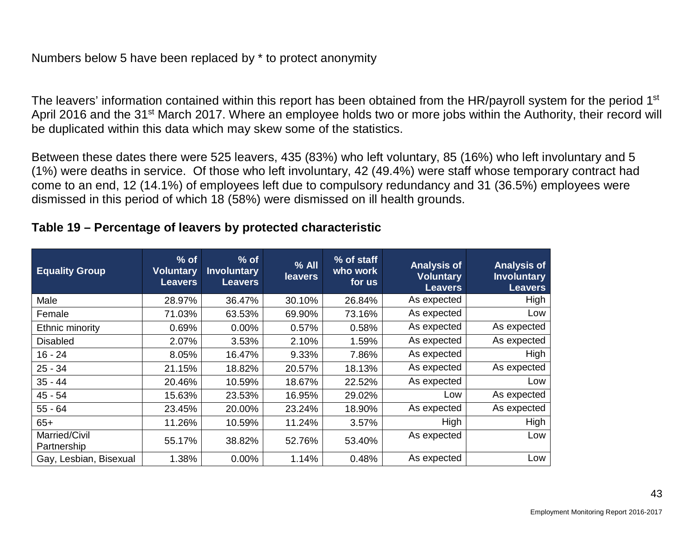#### Numbers below 5 have been replaced by \* to protect anonymity

The leavers' information contained within this report has been obtained from the HR/payroll system for the period 1<sup>st</sup> April 2016 and the 31<sup>st</sup> March 2017. Where an employee holds two or more jobs within the Authority, their record will be duplicated within this data which may skew some of the statistics.

Between these dates there were 525 leavers, 435 (83%) who left voluntary, 85 (16%) who left involuntary and 5 (1%) were deaths in service. Of those who left involuntary, 42 (49.4%) were staff whose temporary contract had come to an end, 12 (14.1%) of employees left due to compulsory redundancy and 31 (36.5%) employees were dismissed in this period of which 18 (58%) were dismissed on ill health grounds.

| <b>Equality Group</b>        | $%$ of<br><b>Voluntary</b><br><b>Leavers</b> | $%$ of<br><b>Involuntary</b><br><b>Leavers</b> | $%$ All<br><b>leavers</b> | % of staff<br>who work<br>for us | <b>Analysis of</b><br><b>Voluntary</b><br><b>Leavers</b> | <b>Analysis of</b><br><b>Involuntary</b><br><b>Leavers</b> |
|------------------------------|----------------------------------------------|------------------------------------------------|---------------------------|----------------------------------|----------------------------------------------------------|------------------------------------------------------------|
| Male                         | 28.97%                                       | 36.47%                                         | 30.10%                    | 26.84%                           | As expected                                              | High                                                       |
| Female                       | 71.03%                                       | 63.53%                                         | 69.90%                    | 73.16%                           | As expected                                              | Low                                                        |
| Ethnic minority              | 0.69%                                        | $0.00\%$                                       | 0.57%                     | 0.58%                            | As expected                                              | As expected                                                |
| <b>Disabled</b>              | 2.07%                                        | 3.53%                                          | 2.10%                     | 1.59%                            | As expected                                              | As expected                                                |
| $16 - 24$                    | 8.05%                                        | 16.47%                                         | 9.33%                     | 7.86%                            | As expected                                              | High                                                       |
| $25 - 34$                    | 21.15%                                       | 18.82%                                         | 20.57%                    | 18.13%                           | As expected                                              | As expected                                                |
| $35 - 44$                    | 20.46%                                       | 10.59%                                         | 18.67%                    | 22.52%                           | As expected                                              | Low                                                        |
| $45 - 54$                    | 15.63%                                       | 23.53%                                         | 16.95%                    | 29.02%                           | Low                                                      | As expected                                                |
| $55 - 64$                    | 23.45%                                       | 20.00%                                         | 23.24%                    | 18.90%                           | As expected                                              | As expected                                                |
| $65+$                        | 11.26%                                       | 10.59%                                         | 11.24%                    | 3.57%                            | High                                                     | High                                                       |
| Married/Civil<br>Partnership | 55.17%                                       | 38.82%                                         | 52.76%                    | 53.40%                           | As expected                                              | Low                                                        |
| Gay, Lesbian, Bisexual       | 1.38%                                        | $0.00\%$                                       | 1.14%                     | 0.48%                            | As expected                                              | Low                                                        |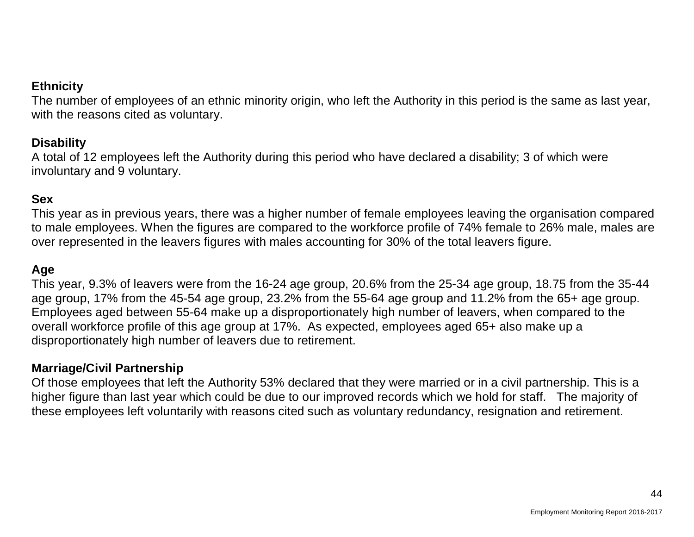#### **Ethnicity**

The number of employees of an ethnic minority origin, who left the Authority in this period is the same as last year, with the reasons cited as voluntary.

## **Disability**

A total of 12 employees left the Authority during this period who have declared a disability; 3 of which were involuntary and 9 voluntary.

## **Sex**

This year as in previous years, there was a higher number of female employees leaving the organisation compared to male employees. When the figures are compared to the workforce profile of 74% female to 26% male, males are over represented in the leavers figures with males accounting for 30% of the total leavers figure.

#### **Age**

This year, 9.3% of leavers were from the 16-24 age group, 20.6% from the 25-34 age group, 18.75 from the 35-44 age group, 17% from the 45-54 age group, 23.2% from the 55-64 age group and 11.2% from the 65+ age group. Employees aged between 55-64 make up a disproportionately high number of leavers, when compared to the overall workforce profile of this age group at 17%. As expected, employees aged 65+ also make up a disproportionately high number of leavers due to retirement.

#### **Marriage/Civil Partnership**

Of those employees that left the Authority 53% declared that they were married or in a civil partnership. This is a higher figure than last year which could be due to our improved records which we hold for staff. The majority of these employees left voluntarily with reasons cited such as voluntary redundancy, resignation and retirement.